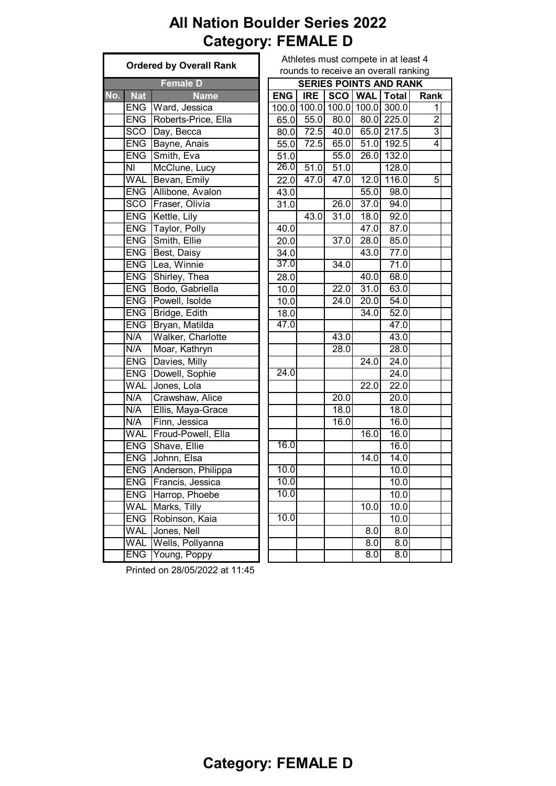# **All Nation Boulder Series 2022 Category: FEMALE D**

|     | <b>Ordered by Overall Rank</b> |                        |  | Athletes must compete in at least 4 |            |             |                   |                                      |                |  |  |  |
|-----|--------------------------------|------------------------|--|-------------------------------------|------------|-------------|-------------------|--------------------------------------|----------------|--|--|--|
|     |                                |                        |  |                                     |            |             |                   | rounds to receive an overall ranking |                |  |  |  |
|     |                                | <b>Female D</b>        |  |                                     |            |             |                   | <b>SERIES POINTS AND RANK</b>        |                |  |  |  |
| No. | <b>Nat</b>                     | <b>Name</b>            |  | <b>ENG</b>                          | <b>IRE</b> |             |                   | SCO   WAL   Total                    | Rank           |  |  |  |
|     |                                | ENG Ward, Jessica      |  |                                     |            |             |                   | 100.0 100.0 100.0 100.0 300.0        | 1              |  |  |  |
|     | <b>ENG</b>                     | Roberts-Price, Ella    |  | 65.0                                |            | $55.0$ 80.0 |                   | 80.0 225.0                           | $\overline{2}$ |  |  |  |
|     | <b>SCO</b>                     | Day, Becca             |  | 80.0                                |            | 72.5 40.0   |                   | 65.0 217.5                           | $\overline{3}$ |  |  |  |
|     | <b>ENG</b>                     | Bayne, Anais           |  | 55.0                                | 72.5       | 65.0        |                   | $\overline{51.0}$ 192.5              | $\overline{4}$ |  |  |  |
|     | <b>ENG</b>                     | Smith, Eva             |  | 51.0                                |            | 55.0        |                   | 26.0 132.0                           |                |  |  |  |
|     | $\overline{\mathsf{N}}$        | McClune, Lucy          |  | 26.0                                | 51.0       | 51.0        |                   | 128.0                                |                |  |  |  |
|     | <b>WAL</b>                     | Bevan, Emily           |  | 22.0                                | 47.0       | 47.0        |                   | $12.0$ 116.0                         | 5              |  |  |  |
|     | <b>ENG</b>                     | Allibone, Avalon       |  | 43.0                                |            |             | 55.0              | 98.0                                 |                |  |  |  |
|     | <b>SCO</b>                     | Fraser, Olivia         |  | 31.0                                |            | 26.0        | 37.0              | 94.0                                 |                |  |  |  |
|     | <b>ENG</b>                     | Kettle, Lily           |  |                                     | 43.0       | 31.0        | 18.0              | 92.0                                 |                |  |  |  |
|     | <b>ENG</b>                     | Taylor, Polly          |  | 40.0                                |            |             | 47.0              | 87.0                                 |                |  |  |  |
|     | <b>ENG</b>                     | Smith, Ellie           |  | 20.0                                |            | 37.0        | 28.0              | 85.0                                 |                |  |  |  |
|     |                                | <b>ENG</b> Best, Daisy |  | 34.0                                |            |             | 43.0              | 77.0                                 |                |  |  |  |
|     | <b>ENG</b>                     | Lea, Winnie            |  | 37.0                                |            | 34.0        |                   | 71.0                                 |                |  |  |  |
|     | <b>ENG</b>                     | Shirley, Thea          |  | 28.0                                |            |             | 40.0              | 68.0                                 |                |  |  |  |
|     | <b>ENG</b>                     | Bodo, Gabriella        |  | 10.0                                |            | 22.0        | 31.0              | 63.0                                 |                |  |  |  |
|     | <b>ENG</b>                     | Powell, Isolde         |  | 10.0                                |            | 24.0        | 20.0              | 54.0                                 |                |  |  |  |
|     | <b>ENG</b>                     | Bridge, Edith          |  | 18.0                                |            |             | 34.0              | 52.0                                 |                |  |  |  |
|     | <b>ENG</b>                     | Bryan, Matilda         |  | 47.0                                |            |             |                   | 47.0                                 |                |  |  |  |
|     | N/A                            | Walker, Charlotte      |  |                                     |            | 43.0        |                   | 43.0                                 |                |  |  |  |
|     | N/A                            | Moar, Kathryn          |  |                                     |            | 28.0        |                   | 28.0                                 |                |  |  |  |
|     | <b>ENG</b>                     | Davies, Milly          |  |                                     |            |             | $\overline{24.0}$ | 24.0                                 |                |  |  |  |
|     | <b>ENG</b>                     | Dowell, Sophie         |  | 24.0                                |            |             |                   | 24.0                                 |                |  |  |  |
|     | <b>WAL</b>                     | Jones, Lola            |  |                                     |            |             | 22.0              | 22.0                                 |                |  |  |  |
|     | N/A                            | Crawshaw, Alice        |  |                                     |            | 20.0        |                   | 20.0                                 |                |  |  |  |
|     | N/A                            | Ellis, Maya-Grace      |  |                                     |            | 18.0        |                   | 18.0                                 |                |  |  |  |
|     | N/A                            | Finn, Jessica          |  |                                     |            | 16.0        |                   | 16.0                                 |                |  |  |  |
|     | <b>WAL</b>                     | Froud-Powell, Ella     |  |                                     |            |             | 16.0              | 16.0                                 |                |  |  |  |
|     | <b>ENG</b>                     | Shave, Ellie           |  | 16.0                                |            |             |                   | 16.0                                 |                |  |  |  |
|     | <b>ENG</b>                     | Johnn, Elsa            |  |                                     |            |             | 14.0              | 14.0                                 |                |  |  |  |
|     |                                | ENG Anderson, Philippa |  | 10.0                                |            |             |                   | 10.0                                 |                |  |  |  |
|     | <b>ENG</b>                     | Francis, Jessica       |  | 10.0                                |            |             |                   | 10.0                                 |                |  |  |  |
|     | <b>ENG</b>                     | Harrop, Phoebe         |  | 10.0                                |            |             |                   | 10.0                                 |                |  |  |  |
|     | <b>WAL</b>                     | Marks, Tilly           |  |                                     |            |             | 10.0              | 10.0                                 |                |  |  |  |
|     | <b>ENG</b>                     | Robinson, Kaia         |  | 10.0                                |            |             |                   | 10.0                                 |                |  |  |  |
|     | <b>WAL</b>                     | Jones, Nell            |  |                                     |            |             | 8.0               | 8.0                                  |                |  |  |  |
|     | <b>WAL</b>                     | Wells, Pollyanna       |  |                                     |            |             | 8.0               | 8.0                                  |                |  |  |  |
|     | <b>ENG</b>                     | Young, Poppy           |  |                                     |            |             | 8.0               | 8.0                                  |                |  |  |  |

| Athletes must compete in at least 4  |
|--------------------------------------|
| rounds to receive an overall ranking |

|                           | <b>Female D</b>     | <b>SERIES POINTS AND RANK</b> |                   |           |                   |                  |                |  |  |  |  |  |  |
|---------------------------|---------------------|-------------------------------|-------------------|-----------|-------------------|------------------|----------------|--|--|--|--|--|--|
| <b>Nat</b>                | <b>Name</b>         | <b>ENG</b>                    | <b>IRE</b>        | SCO   WAL |                   | <b>Total</b>     | Rank           |  |  |  |  |  |  |
| ENG                       | Ward, Jessica       |                               | 100.0 100.0       | 100.0     | 100.0             | 300.0            | 1              |  |  |  |  |  |  |
| ENG                       | Roberts-Price, Ella | 65.0                          | 55.0              |           |                   | 80.0 80.0 225.0  | $\overline{2}$ |  |  |  |  |  |  |
| $\overline{\text{SCO}}$   | Day, Becca          | 80.0                          | 72.5              | 40.0      |                   | 65.0 217.5       | $\overline{3}$ |  |  |  |  |  |  |
| ENG                       | Bayne, Anais        | 55.0                          | 72.5              | 65.0      |                   | 51.0 192.5       | 4              |  |  |  |  |  |  |
| ENG                       | Smith, Eva          | 51.0                          |                   | 55.0      | 26.0              | 132.0            |                |  |  |  |  |  |  |
| $\overline{\mathsf{N}}$   | McClune, Lucy       | 26.0                          | 51.0              | 51.0      |                   | 128.0            |                |  |  |  |  |  |  |
| WAL                       | Bevan, Emily        | $\overline{2}2.0$             | $\overline{47.0}$ | 47.0      | 12.0              | 116.0            | 5              |  |  |  |  |  |  |
| ENG                       | Allibone, Avalon    | 43.0                          |                   |           | 55.0              | 98.0             |                |  |  |  |  |  |  |
| $\overline{SCO}$          | Fraser, Olivia      | 31.0                          |                   | 26.0      | 37.0              | $\frac{1}{94.0}$ |                |  |  |  |  |  |  |
| $\overline{\mathsf{ENG}}$ | Kettle, Lily        |                               | 43.0              | 31.0      | 18.0              | 92.0             |                |  |  |  |  |  |  |
| ENG                       | Taylor, Polly       | 40.0                          |                   |           | 47.0              | 87.0             |                |  |  |  |  |  |  |
| ENG                       | Smith, Ellie        | 20.0                          |                   | 37.0      | 28.0              | 85.0             |                |  |  |  |  |  |  |
| ENG                       | Best, Daisy         | 34.0                          |                   |           | 43.0              | 77.0             |                |  |  |  |  |  |  |
| ENG                       | Lea, Winnie         | 37.0                          |                   | 34.0      |                   | 71.0             |                |  |  |  |  |  |  |
| <b>ENG</b>                | Shirley, Thea       | $\overline{28.0}$             |                   |           | 40.0              | 68.0             |                |  |  |  |  |  |  |
| $\overline{\mathsf{ENG}}$ | Bodo, Gabriella     | 10.0                          |                   | 22.0      | 31.0              | 63.0             |                |  |  |  |  |  |  |
| $\overline{\mathsf{ENG}}$ | Powell, Isolde      | 10.0                          |                   | 24.0      | 20.0              | 54.0             |                |  |  |  |  |  |  |
| ENG                       | Bridge, Edith       | $\overline{18.0}$             |                   |           | 34.0              | 52.0             |                |  |  |  |  |  |  |
| ENG                       | Bryan, Matilda      | 47.0                          |                   |           |                   | 47.0             |                |  |  |  |  |  |  |
| N/A                       | Walker, Charlotte   |                               |                   | 43.0      |                   | 43.0             |                |  |  |  |  |  |  |
| N/A                       | Moar, Kathryn       |                               |                   | 28.0      |                   | 28.0             |                |  |  |  |  |  |  |
| ENG                       | Davies, Milly       |                               |                   |           | $\overline{24.0}$ | 24.0             |                |  |  |  |  |  |  |
| <b>ENG</b>                | Dowell, Sophie      | 24.0                          |                   |           |                   | 24.0             |                |  |  |  |  |  |  |
| WAL                       | Jones, Lola         |                               |                   |           | 22.0              | 22.0             |                |  |  |  |  |  |  |
| N/A                       | Crawshaw, Alice     |                               |                   | 20.0      |                   | 20.0             |                |  |  |  |  |  |  |
| N/A                       | Ellis, Maya-Grace   |                               |                   | 18.0      |                   | 18.0             |                |  |  |  |  |  |  |
| N/A                       | Finn, Jessica       |                               |                   | 16.0      |                   | 16.0             |                |  |  |  |  |  |  |
| WAL                       | Froud-Powell, Ella  |                               |                   |           | 16.0              | 16.0             |                |  |  |  |  |  |  |
| ENG                       | Shave, Ellie        | 16.0                          |                   |           |                   | 16.0             |                |  |  |  |  |  |  |
| <b>ENG</b>                | Johnn, Elsa         |                               |                   |           | $\overline{1}4.0$ | 14.0             |                |  |  |  |  |  |  |
| <b>ENG</b>                | Anderson, Philippa  | 10.0                          |                   |           |                   | 10.0             |                |  |  |  |  |  |  |
| ENG                       | Francis, Jessica    | 10.0                          |                   |           |                   | 10.0             |                |  |  |  |  |  |  |
| ENG                       | Harrop, Phoebe      | 10.0                          |                   |           |                   | 10.0             |                |  |  |  |  |  |  |
| WAL                       | Marks, Tilly        |                               |                   |           | 10.0              | 10.0             |                |  |  |  |  |  |  |
| ENG                       | Robinson, Kaia      | 10.0                          |                   |           |                   | 10.0             |                |  |  |  |  |  |  |
| WAL                       | Jones, Nell         |                               |                   |           | $\overline{8.0}$  | 8.0              |                |  |  |  |  |  |  |
| WAL                       | Wells, Pollyanna    |                               |                   |           | 8.0               | 8.0              |                |  |  |  |  |  |  |
| <b>ENG</b>                | Young, Poppy        |                               |                   |           | 8.0               | 8.0              |                |  |  |  |  |  |  |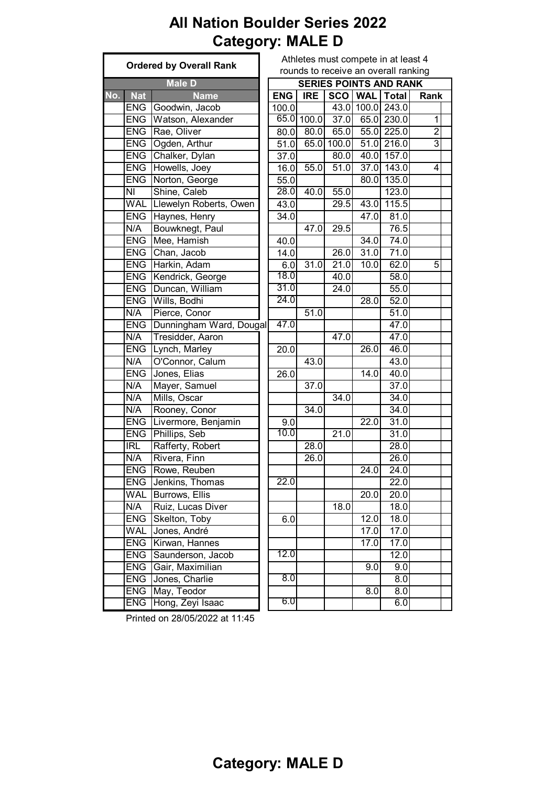#### **All Nation Boulder Series 2022 Category: MALE D**

|     |            | <b>Ordered by Overall Rank</b> | Athletes must compete in at least 4 |            |            |       |            |                                      |                |  |
|-----|------------|--------------------------------|-------------------------------------|------------|------------|-------|------------|--------------------------------------|----------------|--|
|     |            |                                |                                     |            |            |       |            | rounds to receive an overall ranking |                |  |
|     |            | <b>Male D</b>                  |                                     |            |            |       |            | <b>SERIES POINTS AND RANK</b>        |                |  |
| No. | <b>Nat</b> | <b>Name</b>                    |                                     | <b>ENG</b> | <b>IRE</b> |       | SCO   WAL  | <b>Total</b>                         | Rank           |  |
|     | <b>ENG</b> | Goodwin, Jacob                 |                                     | 100.0      |            |       | 43.0 100.0 | 243.0                                |                |  |
|     | <b>ENG</b> | Watson, Alexander              |                                     | 65.0       | 100.0      |       |            | 37.0 65.0 230.0                      | $\mathbf{1}$   |  |
|     | <b>ENG</b> | Rae, Oliver                    |                                     | 80.0       | 80.0       | 65.0  |            | 55.0 225.0                           | $\overline{2}$ |  |
|     | <b>ENG</b> | Ogden, Arthur                  |                                     | 51.0       | 65.0       | 100.0 |            | 51.0 216.0                           | $\overline{3}$ |  |
|     | <b>ENG</b> | Chalker, Dylan                 |                                     | 37.0       |            | 80.0  |            | 40.0 157.0                           |                |  |
|     | <b>ENG</b> | Howells, Joey                  |                                     | 16.0       | 55.0       | 51.0  |            | $37.0$ 143.0                         | 4              |  |
|     | <b>ENG</b> | Norton, George                 |                                     | 55.0       |            |       | 80.0       | 135.0                                |                |  |
|     | NI         | Shine, Caleb                   |                                     | 28.0       | 40.0       | 55.0  |            | 123.0                                |                |  |
|     | <b>WAL</b> | Llewelyn Roberts, Owen         |                                     | 43.0       |            | 29.5  | 43.0       | 115.5                                |                |  |
|     | <b>ENG</b> | Haynes, Henry                  |                                     | 34.0       |            |       | 47.0       | 81.0                                 |                |  |
|     | N/A        | Bouwknegt, Paul                |                                     |            | 47.0       | 29.5  |            | 76.5                                 |                |  |
|     | <b>ENG</b> | Mee, Hamish                    |                                     | 40.0       |            |       | 34.0       | 74.0                                 |                |  |
|     | <b>ENG</b> | Chan, Jacob                    |                                     | 14.0       |            | 26.0  | 31.0       | 71.0                                 |                |  |
|     | <b>ENG</b> | Harkin, Adam                   |                                     | 6.0        | 31.0       | 21.0  | 10.0       | 62.0                                 | 5              |  |
|     | <b>ENG</b> | Kendrick, George               |                                     | 18.0       |            | 40.0  |            | 58.0                                 |                |  |
|     | <b>ENG</b> | Duncan, William                |                                     | 31.0       |            | 24.0  |            | 55.0                                 |                |  |
|     | <b>ENG</b> | Wills, Bodhi                   |                                     | 24.0       |            |       | 28.0       | 52.0                                 |                |  |
|     | N/A        | Pierce, Conor                  |                                     |            | 51.0       |       |            | 51.0                                 |                |  |
|     | <b>ENG</b> | Dunningham Ward, Dougal        |                                     | 47.0       |            |       |            | 47.0                                 |                |  |
|     | N/A        | Tresidder, Aaron               |                                     |            |            | 47.0  |            | 47.0                                 |                |  |
|     | <b>ENG</b> | Lynch, Marley                  |                                     | 20.0       |            |       | 26.0       | 46.0                                 |                |  |
|     | N/A        | O'Connor, Calum                |                                     |            | 43.0       |       |            | 43.0                                 |                |  |
|     | <b>ENG</b> | Jones, Elias                   |                                     | 26.0       |            |       | 14.0       | 40.0                                 |                |  |
|     | N/A        | Mayer, Samuel                  |                                     |            | 37.0       |       |            | 37.0                                 |                |  |
|     | N/A        | Mills, Oscar                   |                                     |            |            | 34.0  |            | 34.0                                 |                |  |
|     | N/A        | Rooney, Conor                  |                                     |            | 34.0       |       |            | 34.0                                 |                |  |
|     | <b>ENG</b> | Livermore, Benjamin            |                                     | 9.0        |            |       | 22.0       | 31.0                                 |                |  |
|     | <b>ENG</b> | Phillips, Seb                  |                                     | 10.0       |            | 21.0  |            | 31.0                                 |                |  |
|     | <b>IRL</b> | Rafferty, Robert               |                                     |            | 28.0       |       |            | 28.0                                 |                |  |
|     | N/A        | Rivera, Finn                   |                                     |            | 26.0       |       |            | 26.0                                 |                |  |
|     | <b>ENG</b> | Rowe, Reuben                   |                                     |            |            |       | 24.0       | 24.0                                 |                |  |
|     | <b>ENG</b> | Jenkins, Thomas                |                                     | 22.0       |            |       |            | 22.0                                 |                |  |
|     | <b>WAL</b> | Burrows, Ellis                 |                                     |            |            |       | 20.0       | 20.0                                 |                |  |
|     | N/A        | Ruiz, Lucas Diver              |                                     |            |            | 18.0  |            | 18.0                                 |                |  |
|     | <b>ENG</b> | Skelton, Toby                  |                                     | 6.0        |            |       | 12.0       | 18.0                                 |                |  |
|     | WAL        | Jones, André                   |                                     |            |            |       | 17.0       | 17.0                                 |                |  |
|     | <b>ENG</b> | Kirwan, Hannes                 |                                     |            |            |       | 17.0       | 17.0                                 |                |  |
|     | <b>ENG</b> | Saunderson, Jacob              |                                     | 12.0       |            |       |            | 12.0                                 |                |  |
|     | <b>ENG</b> | Gair, Maximilian               |                                     |            |            |       | 9.0        | 9.0                                  |                |  |
|     | <b>ENG</b> | Jones, Charlie                 |                                     | 8.0        |            |       |            | 8.0                                  |                |  |
|     | <b>ENG</b> | May, Teodor                    |                                     |            |            |       | 8.0        | 8.0                                  |                |  |
|     | <b>ENG</b> | Hong, Zeyi Isaac               |                                     | 6.0        |            |       |            | 6.0                                  |                |  |
|     |            |                                |                                     |            |            |       |            |                                      |                |  |

| <b>Category: MALE D</b> |  |
|-------------------------|--|
|                         |  |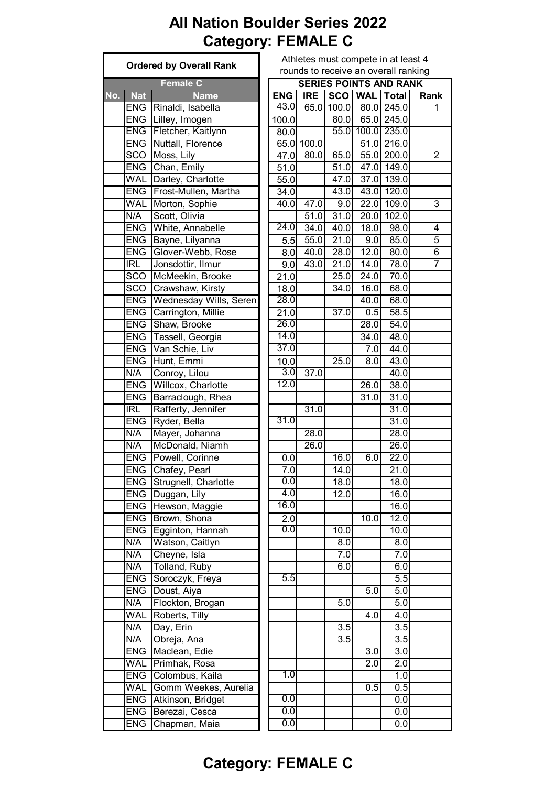# **All Nation Boulder Series 2022 Category: FEMALE C**

|     |                             | <b>Ordered by Overall Rank</b>  | Athletes must compete in at least 4<br>rounds to receive an overall ranking |                   |                   |                   |                               |                |  |  |
|-----|-----------------------------|---------------------------------|-----------------------------------------------------------------------------|-------------------|-------------------|-------------------|-------------------------------|----------------|--|--|
|     |                             |                                 |                                                                             |                   |                   |                   |                               |                |  |  |
|     |                             | Female C                        |                                                                             |                   |                   |                   | <b>SERIES POINTS AND RANK</b> |                |  |  |
| No. | <b>Nat</b>                  | <b>Name</b>                     | <b>ENG</b>                                                                  | <b>IRE</b>        |                   |                   | SCO   WAL   Total             | Rank           |  |  |
|     | <b>ENG</b>                  | Rinaldi, Isabella               | 43.0                                                                        |                   | 65.0 100.0        |                   | 80.0 245.0                    | 1              |  |  |
|     | <b>ENG</b>                  | Lilley, Imogen                  | 100.0                                                                       |                   | 80.0              |                   | 65.0 245.0                    |                |  |  |
|     | <b>ENG</b>                  | Fletcher, Kaitlynn              | 80.0                                                                        |                   |                   |                   | 55.0 100.0 235.0              |                |  |  |
|     | <b>ENG</b>                  | Nuttall, Florence               |                                                                             | 65.0 100.0        |                   |                   | 51.0 216.0                    |                |  |  |
|     | <b>SCO</b>                  | Moss, Lily                      | 47.0                                                                        | 80.0              | 65.0              |                   | 55.0 200.0                    | $\overline{2}$ |  |  |
|     | <b>ENG</b>                  | Chan, Emily                     | 51.0                                                                        |                   | 51.0              |                   | 47.0 149.0                    |                |  |  |
|     | <b>WAL</b>                  | Darley, Charlotte               | 55.0                                                                        |                   | 47.0              |                   | 37.0 139.0                    |                |  |  |
|     | <b>ENG</b>                  | Frost-Mullen, Martha            | 34.0                                                                        |                   | 43.0              |                   | 43.0 120.0                    |                |  |  |
|     | <b>WAL</b>                  | Morton, Sophie                  | 40.0                                                                        | 47.0              | 9.0               |                   | $\overline{22.0}$ 109.0       | 3              |  |  |
|     | N/A                         | Scott, Olivia                   |                                                                             | $\overline{51.0}$ | 31.0              | 20.0              | 102.0                         |                |  |  |
|     | <b>ENG</b>                  | White, Annabelle                | 24.0                                                                        | 34.0              | 40.0              | 18.0              | 98.0                          | 4              |  |  |
|     | <b>ENG</b>                  | Bayne, Lilyanna                 | 5.5                                                                         | 55.0              | 21.0              | 9.0               | 85.0                          | $\overline{5}$ |  |  |
|     | <b>ENG</b>                  | Glover-Webb, Rose               | 8.0                                                                         | 40.0              | 28.0              | 12.0              | 80.0                          | $\overline{6}$ |  |  |
|     | IRL                         | Jonsdottir, Ilmur               | 9.0                                                                         | 43.0              | 21.0              | 14.0              | 78.0                          | 7              |  |  |
|     | SCO                         | McMeekin, Brooke                | 21.0                                                                        |                   | 25.0              | 24.0              | 70.0                          |                |  |  |
|     | SCO                         | Crawshaw, Kirsty                | 18.0                                                                        |                   | 34.0              | 16.0              | 68.0                          |                |  |  |
|     | <b>ENG</b>                  | Wednesday Wills, Seren          | 28.0                                                                        |                   |                   | 40.0              | 68.0                          |                |  |  |
|     | <b>ENG</b>                  | Carrington, Millie              | 21.0                                                                        |                   | 37.0              | 0.5               | 58.5                          |                |  |  |
|     |                             | <b>ENG</b> Shaw, Brooke         | 26.0                                                                        |                   |                   | 28.0              | 54.0                          |                |  |  |
|     | <b>ENG</b>                  | Tassell, Georgia                | 14.0                                                                        |                   |                   | 34.0              | 48.0                          |                |  |  |
|     |                             | Van Schie, Liv                  | 37.0                                                                        |                   |                   |                   |                               |                |  |  |
|     | <b>ENG</b>                  |                                 |                                                                             |                   |                   | 7.0               | 44.0                          |                |  |  |
|     | <b>ENG</b>                  | Hunt, Emmi                      | 10.0                                                                        |                   | 25.0              | 8.0               | 43.0                          |                |  |  |
|     | N/A                         | Conroy, Lilou                   | 3.0                                                                         | 37.0              |                   |                   | 40.0                          |                |  |  |
|     | <b>ENG</b>                  | Willcox, Charlotte              | 12.0                                                                        |                   |                   | 26.0              | 38.0                          |                |  |  |
|     | <b>ENG</b>                  | Barraclough, Rhea               |                                                                             |                   |                   | 31.0              | 31.0                          |                |  |  |
|     | IRL                         | Rafferty, Jennifer              |                                                                             | 31.0              |                   |                   | 31.0                          |                |  |  |
|     | <b>ENG</b>                  | Ryder, Bella                    | 31.0                                                                        |                   |                   |                   | 31.0                          |                |  |  |
|     | N/A                         | Mayer, Johanna                  |                                                                             | 28.0              |                   |                   | 28.0                          |                |  |  |
|     | N/A                         | McDonald, Niamh                 |                                                                             | 26.0              |                   |                   | 26.0                          |                |  |  |
|     | <b>ENG</b>                  | Powell, Corinne                 | 0.0                                                                         |                   | 16.0              | 6.0               | 22.0                          |                |  |  |
|     |                             | ENG Chafey, Pearl               | 7.0                                                                         |                   | 14.0              |                   | 21.0                          |                |  |  |
|     |                             | <b>ENG Strugnell, Charlotte</b> | 0.0                                                                         |                   | 18.0              |                   | 18.0                          |                |  |  |
|     | <b>ENG</b>                  | Duggan, Lily                    | 4.0                                                                         |                   | $\overline{12.0}$ |                   | 16.0                          |                |  |  |
|     | <b>ENG</b>                  | Hewson, Maggie                  | 16.0                                                                        |                   |                   |                   | 16.0                          |                |  |  |
|     | <b>ENG</b>                  | Brown, Shona                    | 2.0                                                                         |                   |                   | $\overline{10.0}$ | 12.0                          |                |  |  |
|     | <b>ENG</b>                  | Egginton, Hannah                | 0.0                                                                         |                   | 10.0              |                   | 10.0                          |                |  |  |
|     | N/A                         | Watson, Caitlyn                 |                                                                             |                   | 8.0               |                   | 8.0                           |                |  |  |
|     | N/A                         | Cheyne, Isla                    |                                                                             |                   | 7.0               |                   | 7.0                           |                |  |  |
|     | N/A                         | Tolland, Ruby                   |                                                                             |                   | 6.0               |                   | 6.0                           |                |  |  |
|     | <b>ENG</b>                  | Soroczyk, Freya                 | 5.5                                                                         |                   |                   |                   | 5.5                           |                |  |  |
|     | <b>ENG</b>                  | Doust, Aiya                     |                                                                             |                   |                   | 5.0               | 5.0                           |                |  |  |
|     | N/A                         | Flockton, Brogan                |                                                                             |                   | 5.0               |                   | 5.0                           |                |  |  |
|     | <b>WAL</b>                  | Roberts, Tilly                  |                                                                             |                   |                   | 4.0               | 4.0                           |                |  |  |
|     | N/A                         | Day, Erin                       |                                                                             |                   | 3.5               |                   | $\overline{3.5}$              |                |  |  |
|     | N/A                         | Obreja, Ana                     |                                                                             |                   | 3.5               |                   | $\overline{3.5}$              |                |  |  |
|     | <b>ENG</b><br>Maclean, Edie |                                 |                                                                             |                   |                   | 3.0               | 3.0                           |                |  |  |
|     | <b>WAL</b>                  | Primhak, Rosa                   |                                                                             |                   |                   | 2.0               | $\overline{2.0}$              |                |  |  |
|     | <b>ENG</b>                  | Colombus, Kaila                 | 1.0                                                                         |                   |                   |                   | 1.0                           |                |  |  |
|     | <b>WAL</b>                  | Gomm Weekes, Aurelia            |                                                                             |                   |                   | 0.5               | 0.5                           |                |  |  |
|     | <b>ENG</b>                  | Atkinson, Bridget               | $\overline{0.0}$                                                            |                   |                   |                   | 0.0                           |                |  |  |
|     | <b>ENG</b>                  | Berezai, Cesca                  | 0.0                                                                         |                   |                   |                   | 0.0                           |                |  |  |
|     |                             |                                 | 0.0                                                                         |                   |                   |                   |                               |                |  |  |
|     | <b>ENG</b>                  | Chapman, Maia                   |                                                                             |                   |                   |                   | 0.0                           |                |  |  |

| rounds to receive an overall ranking<br><b>SERIES POINTS AND RANK</b> |                    |                   |                    |                  |           |  |  |  |  |  |  |
|-----------------------------------------------------------------------|--------------------|-------------------|--------------------|------------------|-----------|--|--|--|--|--|--|
|                                                                       |                    | <b>SCO</b>        |                    | <b>Total</b>     |           |  |  |  |  |  |  |
| <b>ENG</b><br>43.0                                                    | <b>IRE</b><br>65.0 | 100.0             | <b>WAL</b><br>80.0 | 245.0            | Rank<br>1 |  |  |  |  |  |  |
| 100.0                                                                 |                    | 80.0              | 65.0               | 245.0            |           |  |  |  |  |  |  |
|                                                                       |                    | 55.0              | 100.0              | 235.0            |           |  |  |  |  |  |  |
| 80.0<br>65.0                                                          | 100.0              |                   | 51.0               | 216.0            |           |  |  |  |  |  |  |
| 47.0                                                                  | 80.0               | 65.0              | 55.0               | 200.0            | 2         |  |  |  |  |  |  |
| 51.0                                                                  |                    | 51.0              | 47.0               | 149.0            |           |  |  |  |  |  |  |
| 55.0                                                                  |                    | $\overline{47.0}$ | 37.0               | 139.0            |           |  |  |  |  |  |  |
| 34.0                                                                  |                    | 43.0              | 43.0               | 120.0            |           |  |  |  |  |  |  |
| 40.0                                                                  | 47.0               | 9.0               | 22.0               | 109.0            | 3         |  |  |  |  |  |  |
|                                                                       | $\overline{51}$ .0 | 31.0              | 20.0               | 102.0            |           |  |  |  |  |  |  |
| 24.0                                                                  | 34.0               | 40.0              | 18.0               | 98.0             | 4         |  |  |  |  |  |  |
| 5.5                                                                   | 55.0               | 21.0              | 9.0                | 85.0             | 5         |  |  |  |  |  |  |
| 8.0                                                                   | $\overline{40.0}$  | $\overline{28.0}$ | 12.0               | 80.0             | 6         |  |  |  |  |  |  |
| 9.0                                                                   | 43.0               | 21.0              | $\overline{14.0}$  | 78.0             | 7         |  |  |  |  |  |  |
| 21.0                                                                  |                    | 25.0              | $\overline{2}4.0$  | 70.0             |           |  |  |  |  |  |  |
| 18.0                                                                  |                    | 34.0              | 16.0               | 68.0             |           |  |  |  |  |  |  |
| 28.0                                                                  |                    |                   | $\overline{40.0}$  | 68.0             |           |  |  |  |  |  |  |
| 21.0                                                                  |                    |                   |                    |                  |           |  |  |  |  |  |  |
| 26.0                                                                  |                    | 37.0              | 0.5<br>28.0        | 58.5<br>54.0     |           |  |  |  |  |  |  |
| 14.0                                                                  |                    |                   |                    |                  |           |  |  |  |  |  |  |
| 37.0                                                                  |                    |                   | 34.0               | 48.0             |           |  |  |  |  |  |  |
|                                                                       |                    |                   | 7.0                | 44.0             |           |  |  |  |  |  |  |
| 10.0                                                                  |                    | 25.0              | 8.0                | 43.0             |           |  |  |  |  |  |  |
| 3.0                                                                   | 37.0               |                   |                    | 40.0             |           |  |  |  |  |  |  |
| 12.0                                                                  |                    |                   | 26.0               | 38.0             |           |  |  |  |  |  |  |
|                                                                       |                    |                   | 31.0               | 31.0             |           |  |  |  |  |  |  |
|                                                                       | 31.0               |                   |                    | 31.0             |           |  |  |  |  |  |  |
| 31.0                                                                  |                    |                   |                    | 31.0             |           |  |  |  |  |  |  |
|                                                                       | 28.0               |                   |                    | 28.0             |           |  |  |  |  |  |  |
|                                                                       | 26.0               |                   |                    | 26.0             |           |  |  |  |  |  |  |
| 0.0                                                                   |                    | 16.0              | 6.0                | 22.0             |           |  |  |  |  |  |  |
| 7.0                                                                   |                    | 14.0              |                    | 21.0             |           |  |  |  |  |  |  |
| 0.0                                                                   |                    | 18.0              |                    | 18.0             |           |  |  |  |  |  |  |
| 4.0                                                                   |                    | 12.0              |                    | 16.0             |           |  |  |  |  |  |  |
| 16.0                                                                  |                    |                   |                    | 16.0             |           |  |  |  |  |  |  |
| 2.0                                                                   |                    |                   | 10.0               | 12.0             |           |  |  |  |  |  |  |
| 0.0                                                                   |                    | 10.0              |                    | 10.0             |           |  |  |  |  |  |  |
|                                                                       |                    | 8.0               |                    | 8.0              |           |  |  |  |  |  |  |
|                                                                       |                    | 7.0               |                    | $\overline{7}.0$ |           |  |  |  |  |  |  |
|                                                                       |                    | 6.0               |                    | 6.0              |           |  |  |  |  |  |  |
| 5.5                                                                   |                    |                   |                    | 5.5              |           |  |  |  |  |  |  |
|                                                                       |                    |                   | 5.0                | 5.0              |           |  |  |  |  |  |  |
|                                                                       |                    | 5.0               |                    | 5.0              |           |  |  |  |  |  |  |
|                                                                       |                    |                   | 4.0                | 4.0              |           |  |  |  |  |  |  |
|                                                                       |                    | 3.5               |                    | 3.5              |           |  |  |  |  |  |  |
|                                                                       |                    | $\overline{3.5}$  |                    | $\overline{3.5}$ |           |  |  |  |  |  |  |
|                                                                       |                    |                   | 3.0                | 3.0              |           |  |  |  |  |  |  |
|                                                                       |                    |                   | 2.0                | 2.0              |           |  |  |  |  |  |  |
| $\overline{1.0}$                                                      |                    |                   |                    | 1.0              |           |  |  |  |  |  |  |
|                                                                       |                    |                   | 0.5                | 0.5              |           |  |  |  |  |  |  |
| 0.0                                                                   |                    |                   |                    | 0.0              |           |  |  |  |  |  |  |

# **Category: FEMALE C**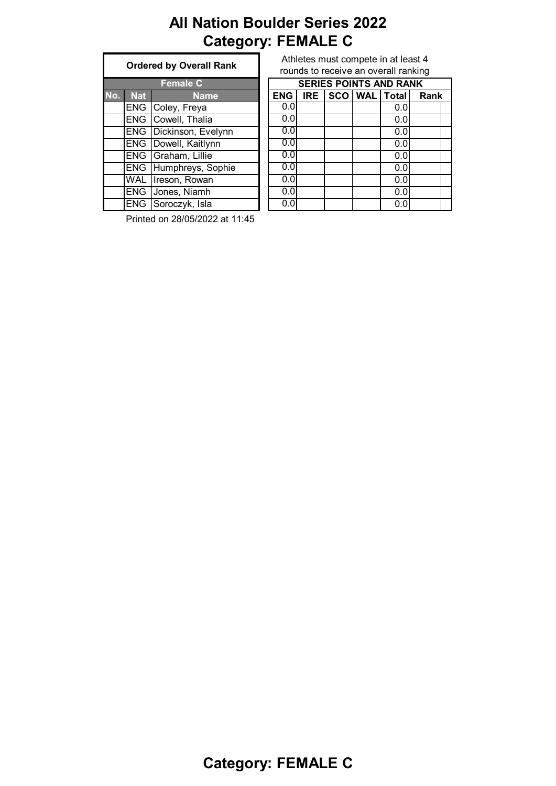# **All Nation Boulder Series 2022 Category: FEMALE C**

|     | <b>Ordered by Overall Rank</b> |                        |  |  |  |  |  |  |  |  |
|-----|--------------------------------|------------------------|--|--|--|--|--|--|--|--|
|     |                                | <b>Female C</b>        |  |  |  |  |  |  |  |  |
| No. | <b>Nat</b>                     | <b>Name</b>            |  |  |  |  |  |  |  |  |
|     |                                | ENG Coley, Freya       |  |  |  |  |  |  |  |  |
|     | <b>ENG</b>                     | Cowell, Thalia         |  |  |  |  |  |  |  |  |
|     | <b>ENG</b>                     | Dickinson, Evelynn     |  |  |  |  |  |  |  |  |
|     |                                | ENG   Dowell, Kaitlynn |  |  |  |  |  |  |  |  |
|     |                                | ENG Graham, Lillie     |  |  |  |  |  |  |  |  |
|     |                                | ENG Humphreys, Sophie  |  |  |  |  |  |  |  |  |
|     | <b>WAL</b>                     | Ireson, Rowan          |  |  |  |  |  |  |  |  |
|     | <b>ENG</b>                     | Jones, Niamh           |  |  |  |  |  |  |  |  |
|     |                                | ENG Soroczyk, Isla     |  |  |  |  |  |  |  |  |

Athletes must compete in at least 4 rounds to receive an overall ranking

|     |            | <b>Female C</b>              |            | <b>SERIES POINTS AND RANK</b> |            |  |  |                   |      |  |
|-----|------------|------------------------------|------------|-------------------------------|------------|--|--|-------------------|------|--|
| No. | <b>Nat</b> | <b>Name</b>                  | <b>ENG</b> |                               | <b>IRE</b> |  |  | SCO   WAL   Total | Rank |  |
|     | <b>ENG</b> | Coley, Freya                 | 0.0        |                               |            |  |  | 0.0               |      |  |
|     | <b>ENG</b> | Cowell, Thalia               | 0.0        |                               |            |  |  | 0.0               |      |  |
|     | <b>ENG</b> | Dickinson, Evelynn           | 0.0        |                               |            |  |  | 0.0               |      |  |
|     | <b>ENG</b> | Dowell, Kaitlynn             | 0.0        |                               |            |  |  | 0.0               |      |  |
|     |            | ENG Graham, Lillie           | 0.0        |                               |            |  |  | 0.0               |      |  |
|     |            | <b>ENG Humphreys, Sophie</b> | 0.0        |                               |            |  |  | 0.0               |      |  |
|     | <b>WAL</b> | Ireson, Rowan                | 0.0        |                               |            |  |  | 0.0               |      |  |
|     | <b>ENG</b> | Jones, Niamh                 | 0.0        |                               |            |  |  | 0.0               |      |  |
|     | <b>ENG</b> | Soroczyk, Isla               | 0.0        |                               |            |  |  | 0.0               |      |  |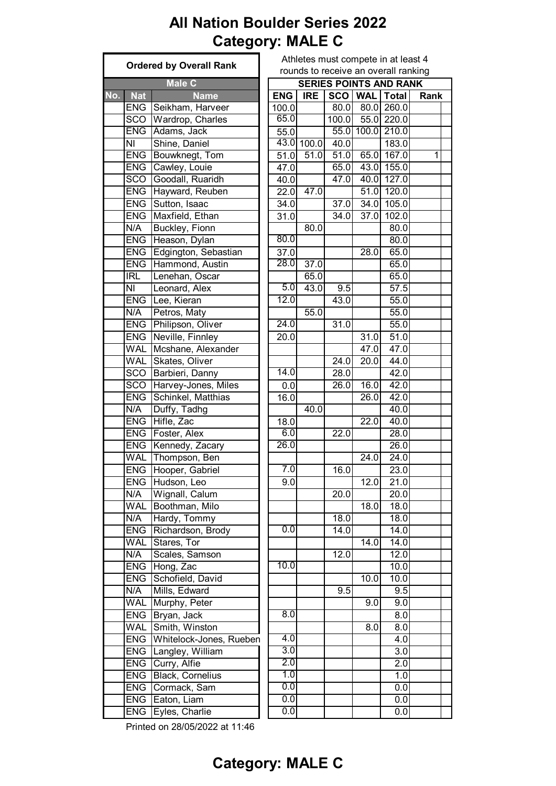# **All Nation Boulder Series 2022 Category: MALE C**

|     |                                | <b>Ordered by Overall Rank</b>      | Athletes must compete in at least 4<br>rounds to receive an overall ranking |            |                    |           |                               |      |  |  |  |
|-----|--------------------------------|-------------------------------------|-----------------------------------------------------------------------------|------------|--------------------|-----------|-------------------------------|------|--|--|--|
|     |                                |                                     |                                                                             |            |                    |           |                               |      |  |  |  |
|     |                                | <b>Male C</b>                       |                                                                             |            |                    |           | <b>SERIES POINTS AND RANK</b> |      |  |  |  |
| No. | <b>Nat</b><br><b>ENG</b>       | <b>Name</b><br>Seikham, Harveer     | <b>ENG</b>                                                                  | <b>IRE</b> | 80.0               | SCO   WAL | <b>Total</b><br>80.0 260.0    | Rank |  |  |  |
|     | SCO                            | Wardrop, Charles                    | 100.0<br>65.0                                                               |            |                    |           |                               |      |  |  |  |
|     | <b>ENG</b>                     |                                     |                                                                             |            | $\overline{1}00.0$ |           | 55.0 220.0                    |      |  |  |  |
|     | NI                             | Adams, Jack<br>Shine, Daniel        | 55.0                                                                        | 43.0 100.0 | 40.0               |           | 55.0 100.0 210.0<br>183.0     |      |  |  |  |
|     | ENG                            |                                     |                                                                             | 51.0       |                    |           | $\overline{51.0}$ 65.0 167.0  | 1    |  |  |  |
|     |                                | Bouwknegt, Tom<br>ENG Cawley, Louie | 51.0<br>47.0                                                                |            | 65.0               |           | 43.0 155.0                    |      |  |  |  |
|     | <b>SCO</b>                     | Goodall, Ruaridh                    | $40.\overline{0}$                                                           |            | 47.0               |           | 40.0 127.0                    |      |  |  |  |
|     | <b>ENG</b>                     | Hayward, Reuben                     |                                                                             | 47.0       |                    |           | 51.0 120.0                    |      |  |  |  |
|     | <b>ENG</b>                     | Sutton, Isaac                       | 22.0                                                                        |            | 37.0               |           | 34.0 105.0                    |      |  |  |  |
|     | <b>ENG</b>                     |                                     | 34.0                                                                        |            | $\overline{34.0}$  |           |                               |      |  |  |  |
|     |                                | Maxfield, Ethan                     | 31.0                                                                        |            |                    | 37.0      | 102.0                         |      |  |  |  |
|     | N/A                            | Buckley, Fionn                      | 80.0                                                                        | 80.0       |                    |           | 80.0                          |      |  |  |  |
|     | <b>ENG</b>                     | Heason, Dylan                       |                                                                             |            |                    |           | 80.0                          |      |  |  |  |
|     | <b>ENG</b>                     | Edgington, Sebastian                | 37.0<br>28.0                                                                |            |                    | 28.0      | 65.0                          |      |  |  |  |
|     | <b>ENG</b>                     | Hammond, Austin                     |                                                                             | 37.0       |                    |           | 65.0                          |      |  |  |  |
|     | <b>IRL</b>                     | Lenehan, Oscar                      |                                                                             | 65.0       |                    |           | 65.0                          |      |  |  |  |
|     | NI                             | Leonard, Alex                       | 5.0                                                                         | 43.0       | 9.5                |           | 57.5                          |      |  |  |  |
|     | <b>ENG</b>                     | Lee, Kieran                         | 12.0                                                                        |            | 43.0               |           | $\overline{5}5.0$             |      |  |  |  |
|     | N/A                            | Petros, Maty                        |                                                                             | 55.0       |                    |           | 55.0                          |      |  |  |  |
|     | <b>ENG</b>                     | Philipson, Oliver                   | 24.0                                                                        |            | $\overline{31.0}$  |           | 55.0                          |      |  |  |  |
|     | <b>ENG</b>                     | Neville, Finnley                    | 20.0                                                                        |            |                    | 31.0      | 51.0                          |      |  |  |  |
|     | <b>WAL</b>                     | Mcshane, Alexander                  |                                                                             |            |                    | 47.0      | 47.0                          |      |  |  |  |
|     | <b>WAL</b>                     | Skates, Oliver                      |                                                                             |            | 24.0               | 20.0      | 44.0                          |      |  |  |  |
|     | SCO                            | Barbieri, Danny                     | 14.0                                                                        |            | 28.0               |           | 42.0                          |      |  |  |  |
|     | <b>SCO</b>                     | Harvey-Jones, Miles                 | 0.0                                                                         |            | 26.0               | 16.0      | 42.0                          |      |  |  |  |
|     | ENG                            | Schinkel, Matthias                  | 16.0                                                                        |            |                    | 26.0      | 42.0                          |      |  |  |  |
|     | N/A                            | Duffy, Tadhg                        |                                                                             | 40.0       |                    |           | 40.0                          |      |  |  |  |
|     | <b>ENG</b>                     | Hifle, Zac                          | 18.0                                                                        |            |                    | 22.0      | 40.0                          |      |  |  |  |
|     | <b>ENG</b>                     | Foster, Alex                        | 6.0                                                                         |            | 22.0               |           | 28.0                          |      |  |  |  |
|     | <b>ENG</b>                     | Kennedy, Zacary                     | 26.0                                                                        |            |                    |           | 26.0                          |      |  |  |  |
|     | <b>WAL</b>                     | Thompson, Ben                       |                                                                             |            |                    | 24.0      | 24.0                          |      |  |  |  |
|     |                                | ENG Hooper, Gabriel                 | 7.0                                                                         |            | 16.0               |           | 23.0                          |      |  |  |  |
|     |                                | ENG Hudson, Leo                     | 9.0                                                                         |            |                    | 12.0      | $\overline{2}1.0$             |      |  |  |  |
|     | N/A                            | Wignall, Calum                      |                                                                             |            | 20.0               |           | 20.0                          |      |  |  |  |
|     | <b>WAL</b>                     | Boothman, Milo                      |                                                                             |            |                    | 18.0      | 18.0                          |      |  |  |  |
|     | N/A                            | Hardy, Tommy                        |                                                                             |            | 18.0               |           | 18.0                          |      |  |  |  |
|     | <b>ENG</b>                     | Richardson, Brody                   | 0.0                                                                         |            | 14.0               |           | 14.0                          |      |  |  |  |
|     | <b>WAL</b>                     | Stares, Tor                         |                                                                             |            |                    | 14.0      | 14.0                          |      |  |  |  |
|     | N/A                            | Scales, Samson                      |                                                                             |            | 12.0               |           | 12.0                          |      |  |  |  |
|     | <b>ENG</b>                     | Hong, Zac                           | 10.0                                                                        |            |                    |           | 10.0                          |      |  |  |  |
|     | <b>ENG</b>                     | Schofield, David                    |                                                                             |            |                    | 10.0      | 10.0                          |      |  |  |  |
|     | N/A                            | Mills, Edward                       |                                                                             |            | 9.5                |           | 9.5                           |      |  |  |  |
|     | <b>WAL</b>                     | Murphy, Peter                       |                                                                             |            |                    | 9.0       | 9.0                           |      |  |  |  |
|     | ENG                            | Bryan, Jack                         | 8.0                                                                         |            |                    |           | 8.0                           |      |  |  |  |
|     | <b>WAL</b>                     | Smith, Winston                      |                                                                             |            |                    | 8.0       | 8.0                           |      |  |  |  |
|     | <b>ENG</b>                     | Whitelock-Jones, Rueben             | 4.0                                                                         |            |                    |           | 4.0                           |      |  |  |  |
|     | <b>ENG</b><br>Langley, William |                                     | 3.0                                                                         |            |                    |           | 3.0                           |      |  |  |  |
|     | <b>ENG</b><br>Curry, Alfie     |                                     | 2.0                                                                         |            |                    |           | 2.0                           |      |  |  |  |
|     | <b>ENG</b>                     | <b>Black, Cornelius</b>             | 1.0                                                                         |            |                    |           | 1.0                           |      |  |  |  |
|     |                                | ENG Cormack, Sam                    | 0.0                                                                         |            |                    |           | 0.0                           |      |  |  |  |
|     |                                | ENG Eaton, Liam                     | 0.0                                                                         |            |                    |           | 0.0                           |      |  |  |  |
|     |                                | ENG Eyles, Charlie                  | 0.0                                                                         |            |                    |           | 0.0                           |      |  |  |  |

|    | , oran ramming<br><b>SERIES POINTS AND RANK</b> |            |            |                   |                   |                   |      |  |  |  |  |  |  |
|----|-------------------------------------------------|------------|------------|-------------------|-------------------|-------------------|------|--|--|--|--|--|--|
|    |                                                 | <b>ENG</b> | <b>IRE</b> | <b>SCO</b>        | <b>WAL</b>        | <b>Total</b>      | Rank |  |  |  |  |  |  |
|    |                                                 | 100.0      |            | 80.0              | 80.0              | 260.0             |      |  |  |  |  |  |  |
|    |                                                 | 65.0       |            | 100.0             | 55.0              | 220.0             |      |  |  |  |  |  |  |
|    |                                                 | 55.0       |            | $\overline{55.0}$ | 100.0             | 210.0             |      |  |  |  |  |  |  |
|    |                                                 | 43.0       | 100.0      | 40.0              |                   | 183.0             |      |  |  |  |  |  |  |
|    |                                                 | 51.0       | 51.0       | 51.0              | 65.0              | 167.0             | 1    |  |  |  |  |  |  |
|    |                                                 | 47.0       |            | 65.0              | 43.0              | 155.0             |      |  |  |  |  |  |  |
|    |                                                 | 40.0       |            | 47.0              | 40.0              | 127.0             |      |  |  |  |  |  |  |
|    |                                                 | 22.0       | 47.0       |                   | 51.0              | 120.0             |      |  |  |  |  |  |  |
|    |                                                 | 34.0       |            | 37.0              | 34.0              | 105.0             |      |  |  |  |  |  |  |
|    |                                                 | 31.0       |            | $\overline{3}4.0$ | 37.0              | 102.0             |      |  |  |  |  |  |  |
|    |                                                 |            | 80.0       |                   |                   | 80.0              |      |  |  |  |  |  |  |
|    |                                                 | 80.0       |            |                   |                   | 80.0              |      |  |  |  |  |  |  |
|    |                                                 | 37.0       |            |                   | 28.0              | 65.0              |      |  |  |  |  |  |  |
|    |                                                 | 28.0       | 37.0       |                   |                   | 65.0              |      |  |  |  |  |  |  |
|    |                                                 |            | 65.0       |                   |                   | 65.0              |      |  |  |  |  |  |  |
|    |                                                 | 5.0        | 43.0       | 9.5               |                   | 57.5              |      |  |  |  |  |  |  |
|    |                                                 | 12.0       |            | 43.0              |                   | 55.0              |      |  |  |  |  |  |  |
|    |                                                 |            | 55.0       |                   |                   | 55.0              |      |  |  |  |  |  |  |
|    |                                                 | 24.0       |            | 31.0              |                   | 55.0              |      |  |  |  |  |  |  |
|    |                                                 | 20.0       |            |                   | 31.0              | $\overline{51.0}$ |      |  |  |  |  |  |  |
|    |                                                 |            |            |                   | 47.0              | 47.0              |      |  |  |  |  |  |  |
|    |                                                 |            |            | 24.0              | 20.0              | 44.0              |      |  |  |  |  |  |  |
|    |                                                 | 14.0       |            | 28.0              |                   | 42.0              |      |  |  |  |  |  |  |
|    |                                                 | 0.0        |            | $\overline{26.0}$ | 16.0              | 42.0              |      |  |  |  |  |  |  |
|    |                                                 | 16.0       |            |                   | 26.0              | 42.0              |      |  |  |  |  |  |  |
|    |                                                 |            | 40.0       |                   |                   | $\overline{4}0.0$ |      |  |  |  |  |  |  |
|    |                                                 | 18.0       |            |                   | 22.0              | 40.0              |      |  |  |  |  |  |  |
|    |                                                 | 6.0        |            | 22.0              |                   | 28.0              |      |  |  |  |  |  |  |
|    |                                                 | 26.0       |            |                   |                   | 26.0              |      |  |  |  |  |  |  |
|    |                                                 |            |            |                   | $\overline{24.0}$ | 24.0              |      |  |  |  |  |  |  |
|    |                                                 | 7.0        |            | 16.0              |                   | 23.0              |      |  |  |  |  |  |  |
|    |                                                 | 9.0        |            |                   | 12.0              | 21.0              |      |  |  |  |  |  |  |
|    |                                                 |            |            | $\overline{20.0}$ |                   | 20.0              |      |  |  |  |  |  |  |
|    |                                                 |            |            |                   | 18.0              | 18.0              |      |  |  |  |  |  |  |
|    |                                                 |            |            | 18.0              |                   | 18.0              |      |  |  |  |  |  |  |
|    |                                                 | 0.0        |            | 14.0              |                   | 14.0              |      |  |  |  |  |  |  |
|    |                                                 |            |            |                   | $\overline{14.0}$ | 14.0              |      |  |  |  |  |  |  |
|    |                                                 |            |            | 12.0              |                   | 12.0              |      |  |  |  |  |  |  |
|    |                                                 | 10.0       |            |                   |                   | 10.0              |      |  |  |  |  |  |  |
|    |                                                 |            |            |                   | 10.0              | 10.0              |      |  |  |  |  |  |  |
|    |                                                 |            |            | 9.5               |                   | 9.5               |      |  |  |  |  |  |  |
|    |                                                 |            |            |                   | 9.0               | 9.0               |      |  |  |  |  |  |  |
|    |                                                 | 8.0        |            |                   |                   | 8.0               |      |  |  |  |  |  |  |
|    |                                                 |            |            |                   | 8.0               | 8.0               |      |  |  |  |  |  |  |
| эn |                                                 | 4.0        |            |                   |                   | 4.0               |      |  |  |  |  |  |  |
|    |                                                 | 3.0        |            |                   |                   | 3.0               |      |  |  |  |  |  |  |
|    |                                                 | 2.0        |            |                   |                   | 2.0               |      |  |  |  |  |  |  |
|    |                                                 | 1.0        |            |                   |                   | 1.0               |      |  |  |  |  |  |  |
|    |                                                 | 0.0        |            |                   |                   | 0.0               |      |  |  |  |  |  |  |
|    |                                                 | 0.0        |            |                   |                   | 0.0               |      |  |  |  |  |  |  |
|    |                                                 | 0.0        |            |                   |                   | 0.0               |      |  |  |  |  |  |  |
|    |                                                 |            |            |                   |                   |                   |      |  |  |  |  |  |  |

Printed on 28/05/2022 at 11:46

#### **Category: MALE C**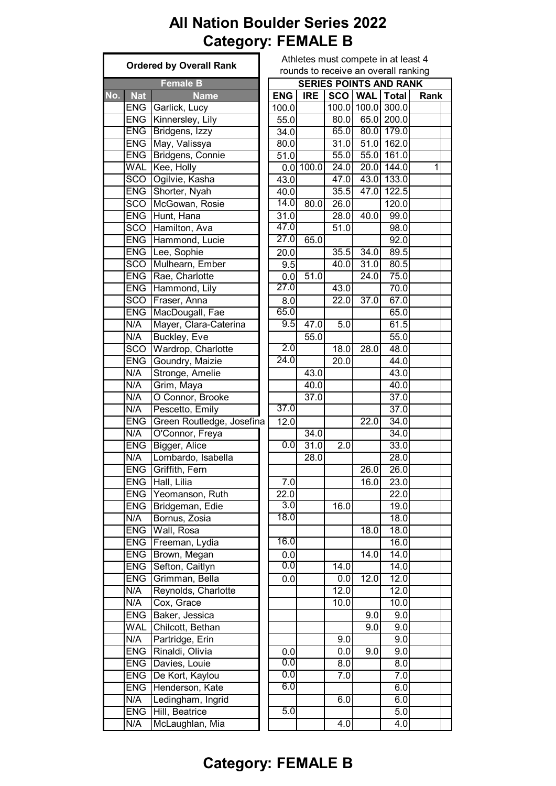#### **All Nation Boulder Series 2022 Category: FEMALE B**

|                   | <b>Ordered by Overall Rank</b> |                   |             |                   | Athletes must compete in at le<br>rounds to receive an overall ra |                      |
|-------------------|--------------------------------|-------------------|-------------|-------------------|-------------------------------------------------------------------|----------------------|
|                   | <b>Female B</b>                |                   |             |                   | <b>SERIES POINTS AND RA</b>                                       |                      |
| <b>Nat</b><br>No. | <b>Name</b>                    | <b>ENG</b>        | <b>IRE</b>  |                   | SCO   WAL   Total                                                 |                      |
| <b>ENG</b>        | Garlick, Lucy                  | 100.0             |             |                   | 100.0 100.0                                                       | 300.0                |
| <b>ENG</b>        | Kinnersley, Lily               | 55.0              |             | 80.0              |                                                                   | 65.0 200.0           |
| <b>ENG</b>        | Bridgens, Izzy                 | 34.0              |             | 65.0              |                                                                   | 80.0 179.0           |
| <b>ENG</b>        | May, Valissya                  | 80.0              |             | 31.0              | 51.0                                                              | 162.0                |
| <b>ENG</b>        | Bridgens, Connie               | 51.0              |             | 55.0              | 55.0                                                              | 161.0                |
| <b>WAL</b>        | Kee, Holly                     |                   | $0.0$ 100.0 | 24.0              |                                                                   | 20.0 144.0           |
| <b>SCO</b>        | Ogilvie, Kasha                 | 43.0              |             | 47.0              |                                                                   | 43.0 133.0           |
| <b>ENG</b>        | Shorter, Nyah                  | 40.0              |             | 35.5              | 47.0                                                              | $\overline{1}$ 122.5 |
| <b>SCO</b>        | McGowan, Rosie                 | 14.0              | 80.0        | 26.0              |                                                                   | 120.0                |
| <b>ENG</b>        | Hunt, Hana                     | $\overline{3}1.0$ |             | 28.0              | 40.0                                                              | 99.0                 |
| <b>SCO</b>        | Hamilton, Ava                  | 47.0              |             | 51.0              |                                                                   | 98.0                 |
| <b>ENG</b>        | Hammond, Lucie                 | 27.0              | 65.0        |                   |                                                                   | 92.0                 |
| <b>ENG</b>        | Lee, Sophie                    | 20.0              |             | 35.5              | 34.0                                                              | 89.5                 |
| <b>SCO</b>        | Mulhearn, Ember                | 9.5               |             | 40.0              | 31.0                                                              | 80.5                 |
| <b>ENG</b>        | Rae, Charlotte                 | 0.0               | 51.0        |                   | 24.0                                                              | 75.0                 |
| <b>ENG</b>        | Hammond, Lily                  | 27.0              |             | 43.0              |                                                                   | 70.0                 |
| <b>SCO</b>        | Fraser, Anna                   | 8.0               |             | $\overline{2}2.0$ | 37.0                                                              | 67.0                 |
| <b>ENG</b>        | MacDougall, Fae                | 65.0              |             |                   |                                                                   | 65.0                 |
| N/A               | Mayer, Clara-Caterina          | 9.5               | 47.0        | 5.0               |                                                                   | 61.5                 |
| N/A               | <b>Buckley, Eve</b>            |                   | 55.0        |                   |                                                                   | 55.0                 |
| <b>SCO</b>        | Wardrop, Charlotte             | 2.0               |             | 18.0              | 28.0                                                              | 48.0                 |
| <b>ENG</b>        | Goundry, Maizie                | 24.0              |             | 20.0              |                                                                   | $\overline{44.0}$    |
| N/A               | Stronge, Amelie                |                   | 43.0        |                   |                                                                   | 43.0                 |
| N/A               | Grim, Maya                     |                   | 40.0        |                   |                                                                   | 40.0                 |
| N/A               | O Connor, Brooke               |                   | 37.0        |                   |                                                                   | 37.0                 |
| N/A               | Pescetto, Emily                | 37.0              |             |                   |                                                                   | 37.0                 |
| <b>ENG</b>        | Green Routledge, Josefina      | 12.0              |             |                   | 22.0                                                              | 34.0                 |
| N/A               | O'Connor, Freya                |                   | 34.0        |                   |                                                                   | 34.0                 |
| <b>ENG</b>        | Bigger, Alice                  | $\overline{0.0}$  | 31.0        | 2.0               |                                                                   | 33.0                 |
| N/A               | Lombardo, Isabella             |                   | 28.0        |                   |                                                                   | 28.0                 |
|                   | ENG Griffith, Fern             |                   |             |                   | 26.0                                                              | 26.0                 |
| <b>ENG</b>        | Hall, Lilia                    | 7.0               |             |                   | 16.0                                                              | 23.0                 |
| <b>ENG</b>        | Yeomanson, Ruth                | $\overline{22.0}$ |             |                   |                                                                   | $\overline{2}2.0$    |
| <b>ENG</b>        | Bridgeman, Edie                | 3.0               |             | 16.0              |                                                                   | 19.0                 |
| N/A               | Bornus, Zosia                  | 18.0              |             |                   |                                                                   | 18.0                 |
| <b>ENG</b>        | Wall, Rosa                     |                   |             |                   | 18.0                                                              | 18.0                 |
| <b>ENG</b>        | Freeman, Lydia                 | 16.0              |             |                   |                                                                   | 16.0                 |
| <b>ENG</b>        | Brown, Megan                   | 0.0               |             |                   | 14.0                                                              | 14.0                 |
| <b>ENG</b>        | Sefton, Caitlyn                | 0.0               |             | 14.0              |                                                                   | 14.0                 |
| <b>ENG</b>        | Grimman, Bella                 | 0.0               |             | 0.0               | $\overline{12.0}$                                                 | 12.0                 |
| N/A               | Reynolds, Charlotte            |                   |             | $\overline{12.0}$ |                                                                   | 12.0                 |
| N/A               | Cox, Grace                     |                   |             | 10.0              |                                                                   | 10.0                 |
| <b>ENG</b>        | Baker, Jessica                 |                   |             |                   | 9.0                                                               | 9.0                  |
| <b>WAL</b>        | Chilcott, Bethan               |                   |             |                   | 9.0                                                               | 9.0                  |
|                   |                                |                   |             |                   |                                                                   |                      |
| N/A               | Partridge, Erin                |                   |             | 9.0               |                                                                   | 9.0                  |
| <b>ENG</b>        | Rinaldi, Olivia                | 0.0               |             | 0.0               | 9.0                                                               | 9.0                  |
| <b>ENG</b>        | Davies, Louie                  | $\overline{0.0}$  |             | 8.0               |                                                                   | 8.0                  |
| <b>ENG</b>        | De Kort, Kaylou                | 0.0               |             | 7.0               |                                                                   | 7.0                  |
| <b>ENG</b>        | Henderson, Kate                | 6.0               |             |                   |                                                                   | 6.0                  |
| N/A               | Ledingham, Ingrid              |                   |             | 6.0               |                                                                   | 6.0                  |
| <b>ENG</b>        | Hill, Beatrice                 | 5.0               |             |                   |                                                                   | 5.0                  |
| N/A               | McLaughlan, Mia                |                   |             | 4.0               |                                                                   | 4.0                  |

te in at least 4 overall ranking

# **AND RANK No. Nat Name ENG IRE SCO WAL Total Rank**  $|0|300.0$  $5.0$  200.0  $.0$  179.0  $.0$  162.0  $E[.0]$  161.0  $144.0$  144.0  $8.0$  133.0  $10$  122.5  $\overline{.0}$  99.0  $.0$  80.5  $\overline{.0}$  75.0  $\overline{.0}$  67.0  $\overline{.0}$  48.0

#### **Category: FEMALE B**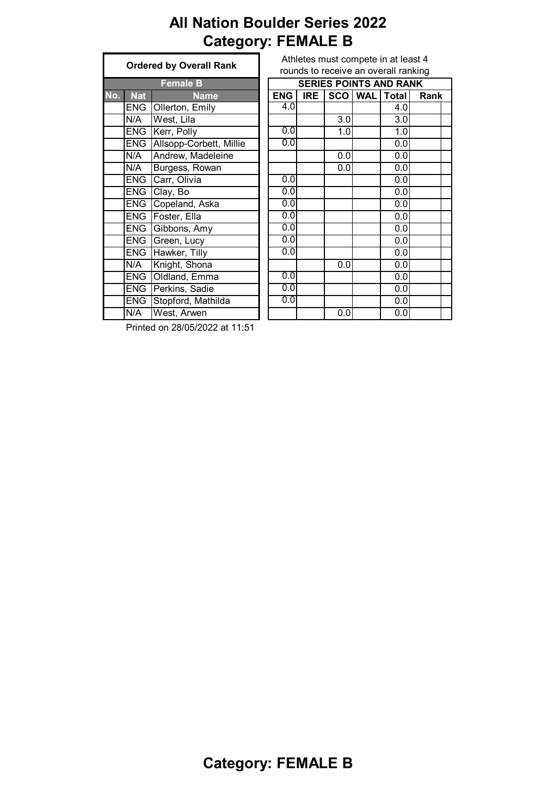# **All Nation Boulder Series 2022 Category: FEMALE B**

|     | <b>Ordered by Overall Rank</b> |                         |  |  |  |  |  |
|-----|--------------------------------|-------------------------|--|--|--|--|--|
|     |                                | <b>Female B</b>         |  |  |  |  |  |
| No. | <b>Nat</b>                     | Name                    |  |  |  |  |  |
|     | <b>ENG</b>                     | Ollerton, Emily         |  |  |  |  |  |
|     | N/A                            | West, Lila              |  |  |  |  |  |
|     | ENG                            | Kerr, Polly             |  |  |  |  |  |
|     | <b>ENG</b>                     | Allsopp-Corbett, Millie |  |  |  |  |  |
|     | N/A                            | Andrew, Madeleine       |  |  |  |  |  |
|     | N/A                            | Burgess, Rowan          |  |  |  |  |  |
|     | ENG                            | Carr, Olivia            |  |  |  |  |  |
|     | ENG                            | Clay, Bo                |  |  |  |  |  |
|     | ENG                            | Copeland, Aska          |  |  |  |  |  |
|     | <b>ENG</b>                     | Foster, Ella            |  |  |  |  |  |
|     | <b>ENG</b>                     | Gibbons, Amy            |  |  |  |  |  |
|     | <b>ENG</b>                     | Green, Lucy             |  |  |  |  |  |
|     | <b>ENG</b>                     | Hawker, Tilly           |  |  |  |  |  |
|     | N/A                            | Knight, Shona           |  |  |  |  |  |
|     | <b>ENG</b>                     | Oldland, Emma           |  |  |  |  |  |
|     | ENG                            | Perkins, Sadie          |  |  |  |  |  |
|     | <b>ENG</b>                     | Stopford, Mathilda      |  |  |  |  |  |
|     | N/A                            | West, Arwen             |  |  |  |  |  |

| Athletes must compete in at least 4  |
|--------------------------------------|
| rounds to receive an overall ranking |

|     |            | <b>Female B</b>         | <b>SERIES POINTS AND RANK</b> |            |     |           |              |      |  |  |  |
|-----|------------|-------------------------|-------------------------------|------------|-----|-----------|--------------|------|--|--|--|
| No. | <b>Nat</b> | <b>Name</b>             | <b>ENG</b>                    | <b>IRE</b> |     | SCO   WAL | <b>Total</b> | Rank |  |  |  |
|     | <b>ENG</b> | Ollerton, Emily         | 4.0                           |            |     |           | 4.0          |      |  |  |  |
|     | N/A        | West, Lila              |                               |            | 3.0 |           | 3.0          |      |  |  |  |
|     | <b>ENG</b> | Kerr, Polly             | 0.0                           |            | 1.0 |           | 1.0          |      |  |  |  |
|     | <b>ENG</b> | Allsopp-Corbett, Millie | 0.0                           |            |     |           | 0.0          |      |  |  |  |
|     | N/A        | Andrew, Madeleine       |                               |            | 0.0 |           | 0.0          |      |  |  |  |
|     | N/A        | Burgess, Rowan          |                               |            | 0.0 |           | 0.0          |      |  |  |  |
|     | <b>ENG</b> | Carr, Olivia            | 0.0                           |            |     |           | 0.0          |      |  |  |  |
|     | <b>ENG</b> | Clay, Bo                | 0.0                           |            |     |           | 0.0          |      |  |  |  |
|     | <b>ENG</b> | Copeland, Aska          | 0.0                           |            |     |           | 0.0          |      |  |  |  |
|     | <b>ENG</b> | Foster, Ella            | 0.0                           |            |     |           | 0.0          |      |  |  |  |
|     | <b>ENG</b> | Gibbons, Amy            | 0.0                           |            |     |           | 0.0          |      |  |  |  |
|     | <b>ENG</b> | Green, Lucy             | 0.0                           |            |     |           | 0.0          |      |  |  |  |
|     | <b>ENG</b> | Hawker, Tilly           | 0.0                           |            |     |           | 0.0          |      |  |  |  |
|     | N/A        | Knight, Shona           |                               |            | 0.0 |           | 0.0          |      |  |  |  |
|     | <b>ENG</b> | Oldland, Emma           | 0.0                           |            |     |           | 0.0          |      |  |  |  |
|     | <b>ENG</b> | Perkins, Sadie          | 0.0                           |            |     |           | 0.0          |      |  |  |  |
|     | <b>ENG</b> | Stopford, Mathilda      | 0.0                           |            |     |           | 0.0          |      |  |  |  |
|     | N/A        | West, Arwen             |                               |            | 0.0 |           | 0.0          |      |  |  |  |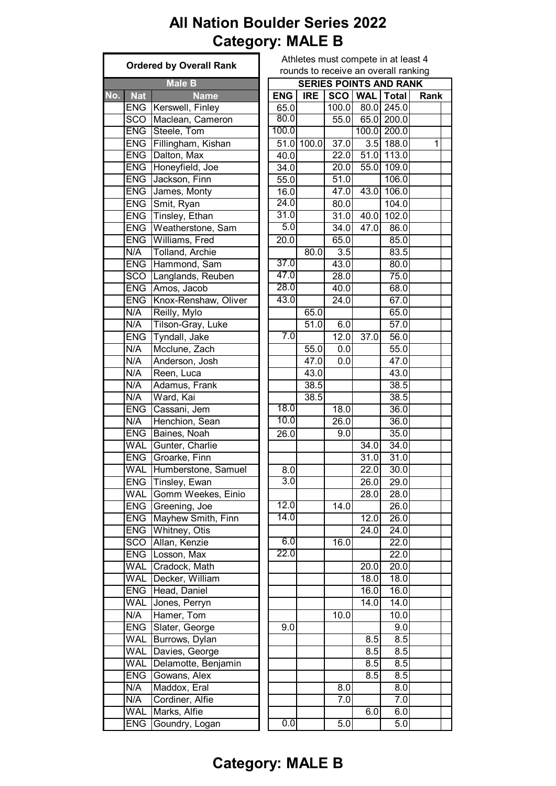# **All Nation Boulder Series 2022 Category: MALE B**

|     |               | <b>Ordered by Overall Rank</b>             | Athletes must compete in at least 4<br>rounds to receive an overall ranking |                               |            |                  |                                       |              |      |  |  |
|-----|---------------|--------------------------------------------|-----------------------------------------------------------------------------|-------------------------------|------------|------------------|---------------------------------------|--------------|------|--|--|
|     | <b>Male B</b> |                                            |                                                                             | <b>SERIES POINTS AND RANK</b> |            |                  |                                       |              |      |  |  |
| No. |               |                                            |                                                                             |                               |            |                  |                                       |              | Rank |  |  |
|     | <b>Nat</b>    | <b>Name</b><br><b>ENG</b> Kerswell, Finley |                                                                             | <b>ENG</b><br>65.0            | <b>IRE</b> |                  | SCO   WAL   Total<br>100.0 80.0 245.0 |              |      |  |  |
|     | SCO           | Maclean, Cameron                           |                                                                             | 80.0                          |            | 55.0             |                                       | 65.0 200.0   |      |  |  |
|     |               | ENG Steele, Tom                            |                                                                             | 100.0                         |            |                  |                                       | 100.0 200.0  |      |  |  |
|     |               |                                            |                                                                             |                               |            |                  |                                       |              |      |  |  |
|     |               | ENG Fillingham, Kishan                     |                                                                             |                               | 51.0 100.0 | 37.0             |                                       | $3.5$ 188.0  | 1    |  |  |
|     |               | ENG Dalton, Max                            |                                                                             | 40.0                          |            | 22.0             |                                       | $51.0$ 113.0 |      |  |  |
|     | <b>ENG</b>    | Honeyfield, Joe                            |                                                                             | 34.0                          |            | 20.0             |                                       | 55.0 109.0   |      |  |  |
|     | <b>ENG</b>    | Jackson, Finn                              |                                                                             | 55.0                          |            | 51.0             |                                       | 106.0        |      |  |  |
|     |               | <b>ENG</b> James, Monty                    |                                                                             | 16.0                          |            | 47.0             |                                       | 43.0 106.0   |      |  |  |
|     |               | ENG Smit, Ryan                             |                                                                             | 24.0                          |            | 80.0             |                                       | 104.0        |      |  |  |
|     |               | ENG Tinsley, Ethan                         |                                                                             | 31.0                          |            | 31.0             |                                       | $40.0$ 102.0 |      |  |  |
|     |               | ENG   Weatherstone, Sam                    |                                                                             | 5.0                           |            | 34.0             | 47.0                                  | 86.0         |      |  |  |
|     |               | <b>ENG</b> Williams, Fred                  |                                                                             | $\overline{20.0}$             |            | 65.0             |                                       | 85.0         |      |  |  |
|     | N/A           | Tolland, Archie                            |                                                                             |                               | 80.0       | $\overline{3.5}$ |                                       | 83.5         |      |  |  |
|     |               | ENG Hammond, Sam                           |                                                                             | 37.0                          |            | 43.0             |                                       | 80.0         |      |  |  |
|     | SCO           | Langlands, Reuben                          |                                                                             | 47.0                          |            | 28.0             |                                       | 75.0         |      |  |  |
|     |               | ENG Amos, Jacob                            |                                                                             | 28.0                          |            | 40.0             |                                       | 68.0         |      |  |  |
|     | <b>ENG</b>    | Knox-Renshaw, Oliver                       |                                                                             | 43.0                          |            | 24.0             |                                       | 67.0         |      |  |  |
|     | N/A           | Reilly, Mylo                               |                                                                             |                               | 65.0       |                  |                                       | 65.0         |      |  |  |
|     | N/A           | Tilson-Gray, Luke                          |                                                                             |                               | 51.0       | 6.0              |                                       | 57.0         |      |  |  |
|     | <b>ENG</b>    | Tyndall, Jake                              |                                                                             | 7.0                           |            | 12.0             | 37.0                                  | 56.0         |      |  |  |
|     | N/A           | Mcclune, Zach                              |                                                                             |                               | 55.0       | 0.0              |                                       | 55.0         |      |  |  |
|     |               |                                            |                                                                             |                               |            |                  |                                       |              |      |  |  |
|     | N/A           | Anderson, Josh                             |                                                                             |                               | 47.0       | 0.0              |                                       | 47.0         |      |  |  |
|     | N/A           | Reen, Luca                                 |                                                                             |                               | 43.0       |                  |                                       | 43.0         |      |  |  |
|     | N/A           | Adamus, Frank                              |                                                                             |                               | 38.5       |                  |                                       | 38.5         |      |  |  |
|     | N/A           | Ward, Kai                                  |                                                                             |                               | 38.5       |                  |                                       | 38.5         |      |  |  |
|     | <b>ENG</b>    | Cassani, Jem                               |                                                                             | 18.0                          |            | 18.0             |                                       | 36.0         |      |  |  |
|     | N/A           | Henchion, Sean                             |                                                                             | 10.0                          |            | 26.0             |                                       | 36.0         |      |  |  |
|     | <b>ENG</b>    | Baines, Noah                               |                                                                             | 26.0                          |            | 9.0              |                                       | 35.0         |      |  |  |
|     | <b>WAL</b>    | Gunter, Charlie                            |                                                                             |                               |            |                  | 34.0                                  | 34.0         |      |  |  |
|     |               | ENG Groarke, Finn                          |                                                                             |                               |            |                  | 31.0                                  | 31.0         |      |  |  |
|     | WAL           | Humberstone, Samuel                        |                                                                             | 8.0                           |            |                  | 22.0                                  | 30.0         |      |  |  |
|     |               | ENG Tinsley, Ewan                          |                                                                             | 3.0                           |            |                  | 26.0                                  | 29.0         |      |  |  |
|     | <b>WAL</b>    | Gomm Weekes, Einio                         |                                                                             |                               |            |                  | $\overline{28.0}$                     | 28.0         |      |  |  |
|     | <b>ENG</b>    | Greening, Joe                              |                                                                             | 12.0                          |            | 14.0             |                                       | 26.0         |      |  |  |
|     | <b>ENG</b>    | Mayhew Smith, Finn                         |                                                                             | 14.0                          |            |                  | 12.0                                  | 26.0         |      |  |  |
|     |               | ENG   Whitney, Otis                        |                                                                             |                               |            |                  | 24.0                                  | 24.0         |      |  |  |
|     | <b>SCO</b>    | Allan, Kenzie                              |                                                                             | 6.0                           |            | 16.0             |                                       | 22.0         |      |  |  |
|     | <b>ENG</b>    | Losson, Max                                |                                                                             | 22.0                          |            |                  |                                       | 22.0         |      |  |  |
|     | WAL           | Cradock, Math                              |                                                                             |                               |            |                  | 20.0                                  | 20.0         |      |  |  |
|     | <b>WAL</b>    | Decker, William                            |                                                                             |                               |            |                  | $\overline{18.0}$                     | 18.0         |      |  |  |
|     | <b>ENG</b>    | Head, Daniel                               |                                                                             |                               |            |                  | 16.0                                  | 16.0         |      |  |  |
|     | <b>WAL</b>    | Jones, Perryn                              |                                                                             |                               |            |                  | 14.0                                  | 14.0         |      |  |  |
|     |               |                                            |                                                                             |                               |            |                  |                                       |              |      |  |  |
|     | N/A           | Hamer, Tom                                 |                                                                             |                               |            | 10.0             |                                       | 10.0<br>9.0  |      |  |  |
|     | <b>ENG</b>    | Slater, George                             |                                                                             | 9.0                           |            |                  |                                       |              |      |  |  |
|     | <b>WAL</b>    | Burrows, Dylan                             |                                                                             |                               |            |                  | 8.5                                   | 8.5          |      |  |  |
|     | <b>WAL</b>    | Davies, George                             |                                                                             |                               |            |                  | 8.5                                   | 8.5          |      |  |  |
|     | <b>WAL</b>    | Delamotte, Benjamin                        |                                                                             |                               |            |                  | 8.5                                   | 8.5          |      |  |  |
|     | <b>ENG</b>    | Gowans, Alex                               |                                                                             |                               |            |                  | 8.5                                   | 8.5          |      |  |  |
|     | N/A           | Maddox, Eral                               |                                                                             |                               |            | 8.0              |                                       | 8.0          |      |  |  |
|     | N/A           | Cordiner, Alfie                            |                                                                             |                               |            | 7.0              |                                       | 7.0          |      |  |  |
|     | <b>WAL</b>    | Marks, Alfie                               |                                                                             |                               |            |                  | 6.0                                   | 6.0          |      |  |  |
|     | <b>ENG</b>    | Goundry, Logan                             |                                                                             | 0.0                           |            | 5.0              |                                       | 5.0          |      |  |  |
|     |               |                                            |                                                                             |                               |            |                  |                                       |              |      |  |  |

| Athletes must compete in at least 4  |  |  |                                    |  |
|--------------------------------------|--|--|------------------------------------|--|
| rounds to receive an overall ranking |  |  |                                    |  |
| <b>SERIES POINTS AND RANK</b>        |  |  |                                    |  |
|                                      |  |  | NG   IRE   SCO   WAL   Total   Ran |  |
|                                      |  |  |                                    |  |

|                   |                   |                   | SERIES PUINTS AND RANK |                   |      |
|-------------------|-------------------|-------------------|------------------------|-------------------|------|
| <b>ENG</b>        | <b>IRE</b>        | <b>SCO</b>        | <b>WAL</b>             | <b>Total</b>      | Rank |
| 65.0              |                   | 100.0             | 80.0                   | 245.0             |      |
| 80.0              |                   | 55.0              | 65.0                   | 200.0             |      |
| 100.0             |                   |                   | 100.0                  | 200.0             |      |
| 51.0              | 100.0             | 37.0              | $\overline{3.5}$       | 188.0             | 1    |
| 40.0              |                   | 22.0              | 51.0                   | 113.0             |      |
| 34.0              |                   | 20.0              | 55.0                   | 109.0             |      |
| 55.0              |                   | 51.0              |                        | 106.0             |      |
| 16.0              |                   | 47.0              | 43.0                   | 106.0             |      |
| 24.0              |                   | 80.0              |                        | 104.0             |      |
| 31.0              |                   | 31.0              | 40.0                   | 102.0             |      |
| 5.0               |                   | 34.0              | 47.0                   | 86.0              |      |
| $\overline{20.0}$ |                   | 65.0              |                        | 85.0              |      |
|                   | 80.0              |                   |                        | 83.5              |      |
| 37.0              |                   | 3.5               |                        |                   |      |
| 47.0              |                   | 43.0              |                        | 80.0              |      |
|                   |                   | 28.0              |                        | 75.0              |      |
| 28.0              |                   | $\overline{40.0}$ |                        | 68.0              |      |
| 43.0              |                   | $\overline{24.0}$ |                        | 67.0              |      |
|                   | 65.0              |                   |                        | 65.0              |      |
|                   | $\overline{5}1.0$ | 6.0               |                        | 57.0              |      |
| 7.0               |                   | 12.0              | 37.0                   | 56.0              |      |
|                   | 55.0              | 0.0               |                        | 55.0              |      |
|                   | 47.0              | 0.0               |                        | 47.0              |      |
|                   | 43.0              |                   |                        | 43.0              |      |
|                   | 38.5              |                   |                        | 38.5              |      |
|                   | 38.5              |                   |                        | 38.5              |      |
| 18.0              |                   | 18.0              |                        | 36.0              |      |
| 10.0              |                   | 26.0              |                        | 36.0              |      |
| 26.0              |                   | 9.0               |                        | 35.0              |      |
|                   |                   |                   | 34.0                   | 34.0              |      |
|                   |                   |                   | 31.0                   | 31.0              |      |
| 8.0               |                   |                   | $\overline{22.0}$      | 30.0              |      |
| $\overline{3.0}$  |                   |                   | 26.0                   | 29.0              |      |
|                   |                   |                   |                        | $\overline{28.0}$ |      |
| 12.0              |                   |                   | 28.0                   |                   |      |
|                   |                   | 14.0              |                        | 26.0              |      |
| 14.0              |                   |                   | 12.0                   | 26.0              |      |
|                   |                   |                   | $\overline{2}4.0$      | 24.0              |      |
| 6.0               |                   | 16.0              |                        | 22.0              |      |
| $\overline{22.0}$ |                   |                   |                        | 22.0              |      |
|                   |                   |                   | 20.0                   | 20.0              |      |
|                   |                   |                   | 18.0                   | 18.0              |      |
|                   |                   |                   | 16.0                   | 16.0              |      |
|                   |                   |                   | 14.0                   | $\overline{14.0}$ |      |
|                   |                   | 10.0              |                        | 10.0              |      |
| 9.0               |                   |                   |                        | 9.0               |      |
|                   |                   |                   | 8.5                    | $\overline{8.5}$  |      |
|                   |                   |                   | 8.5                    | 8.5               |      |
|                   |                   |                   | 8.5                    | 8.5               |      |
|                   |                   |                   | 8.5                    | 8.5               |      |
|                   |                   | 8.0               |                        | 8.0               |      |
|                   |                   | 7.0               |                        | 7.0               |      |
|                   |                   |                   | 6.0                    | 6.0               |      |
|                   |                   |                   |                        |                   |      |

# **Category: MALE B**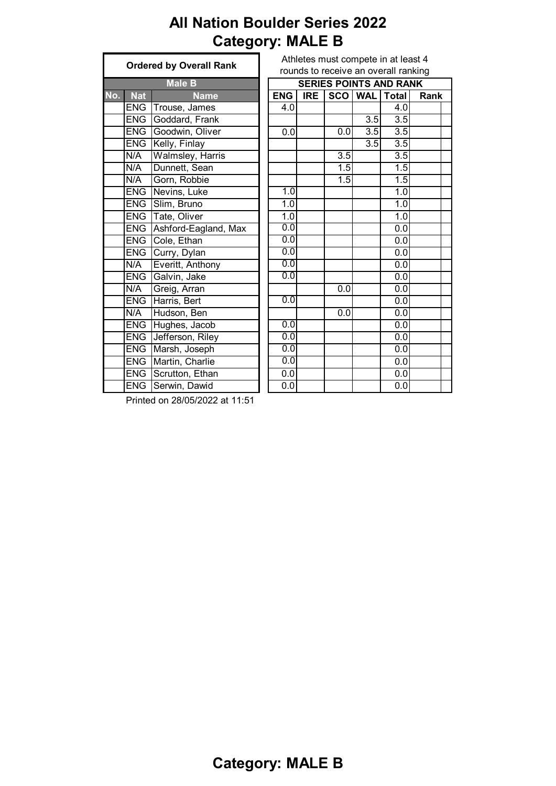# **All Nation Boulder Series 2022 Category: MALE B**

| <b>Male B</b><br>No.<br><b>Nat</b><br><b>Name</b><br><b>ENG</b><br>Trouse, James<br>Goddard, Frank<br><b>ENG</b> |  |
|------------------------------------------------------------------------------------------------------------------|--|
|                                                                                                                  |  |
|                                                                                                                  |  |
|                                                                                                                  |  |
|                                                                                                                  |  |
| Goodwin, Oliver<br><b>ENG</b>                                                                                    |  |
| <b>ENG</b><br>Kelly, Finlay                                                                                      |  |
| N/A<br>Walmsley, Harris                                                                                          |  |
| Dunnett, Sean<br>N/A                                                                                             |  |
| N/A<br>Gorn, Robbie                                                                                              |  |
| Nevins, Luke<br><b>ENG</b>                                                                                       |  |
| <b>ENG</b><br>Slim, Bruno                                                                                        |  |
| <b>ENG</b><br>Tate, Oliver                                                                                       |  |
| <b>ENG</b><br>Ashford-Eagland, Max                                                                               |  |
| ENG<br>Cole, Ethan                                                                                               |  |
| <b>ENG</b><br>Curry, Dylan                                                                                       |  |
| Everitt, Anthony<br>N/A                                                                                          |  |
| <b>ENG</b><br>Galvin, Jake                                                                                       |  |
| Greig, Arran<br>N/A                                                                                              |  |
| <b>ENG</b><br>Harris, Bert                                                                                       |  |
| Hudson, Ben<br>N/A                                                                                               |  |
| <b>ENG</b><br>Hughes, Jacob                                                                                      |  |
| <b>ENG</b><br>Jefferson, Riley                                                                                   |  |
| <b>ENG</b><br>Marsh, Joseph                                                                                      |  |
| <b>ENG</b><br>Martin, Charlie                                                                                    |  |
| <b>ENG</b><br>Scrutton, Ethan                                                                                    |  |
| <b>ENG</b><br>Serwin, Dawid                                                                                      |  |

|     |            | STACTCA DY OVCTAIL IVALIM |                  |            |            |                  | rounds to receive an overall ranking |      |
|-----|------------|---------------------------|------------------|------------|------------|------------------|--------------------------------------|------|
|     |            | <b>Male B</b>             |                  |            |            |                  | <b>SERIES POINTS AND RANK</b>        |      |
| No. | <b>Nat</b> | <b>Name</b>               | <b>ENG</b>       | <b>IRE</b> | <b>SCO</b> | <b>WAL</b>       | <b>Total</b>                         | Rank |
|     | <b>ENG</b> | Trouse, James             | 4.0              |            |            |                  | 4.0                                  |      |
|     | <b>ENG</b> | Goddard, Frank            |                  |            |            | $\overline{3.5}$ | $\overline{3.5}$                     |      |
|     | <b>ENG</b> | Goodwin, Oliver           | 0.0              |            | 0.0        | 3.5              | $\overline{3.5}$                     |      |
|     | <b>ENG</b> | Kelly, Finlay             |                  |            |            | 3.5              | $\overline{3.5}$                     |      |
|     | N/A        | <b>Walmsley, Harris</b>   |                  |            | 3.5        |                  | 3.5                                  |      |
|     | N/A        | Dunnett, Sean             |                  |            | 1.5        |                  | $\overline{1.5}$                     |      |
|     | N/A        | Gorn, Robbie              |                  |            | 1.5        |                  | $\overline{1.5}$                     |      |
|     | <b>ENG</b> | Nevins, Luke              | 1.0              |            |            |                  | 1.0                                  |      |
|     | <b>ENG</b> | Slim, Bruno               | $\overline{1.0}$ |            |            |                  | 1.0                                  |      |
|     | <b>ENG</b> | Tate, Oliver              | 1.0              |            |            |                  | 1.0                                  |      |
|     | <b>ENG</b> | Ashford-Eagland, Max      | 0.0              |            |            |                  | 0.0                                  |      |
|     | <b>ENG</b> | Cole, Ethan               | 0.0              |            |            |                  | 0.0                                  |      |
|     | <b>ENG</b> | Curry, Dylan              | 0.0              |            |            |                  | $\overline{0.0}$                     |      |
|     | N/A        | Everitt, Anthony          | 0.0              |            |            |                  | 0.0                                  |      |
|     | <b>ENG</b> | Galvin, Jake              | 0.0              |            |            |                  | $\overline{0.0}$                     |      |
|     | N/A        | Greig, Arran              |                  |            | 0.0        |                  | 0.0                                  |      |
|     | <b>ENG</b> | Harris, Bert              | 0.0              |            |            |                  | $\overline{0.0}$                     |      |
|     | N/A        | Hudson, Ben               |                  |            | 0.0        |                  | 0.0                                  |      |
|     | <b>ENG</b> | Hughes, Jacob             | 0.0              |            |            |                  | 0.0                                  |      |
|     | <b>ENG</b> | Jefferson, Riley          | 0.0              |            |            |                  | $\overline{0.0}$                     |      |
|     | <b>ENG</b> | Marsh, Joseph             | 0.0              |            |            |                  | 0.0                                  |      |
|     | <b>ENG</b> | Martin, Charlie           | 0.0              |            |            |                  | $\overline{0.0}$                     |      |
|     | <b>ENG</b> | Scrutton, Ethan           | 0.0              |            |            |                  | 0.0                                  |      |
|     | <b>ENG</b> | Serwin, Dawid             | $\overline{0.0}$ |            |            |                  | 0.0                                  |      |

Printed on 28/05/2022 at 11:51

Athletes must compete in at least 4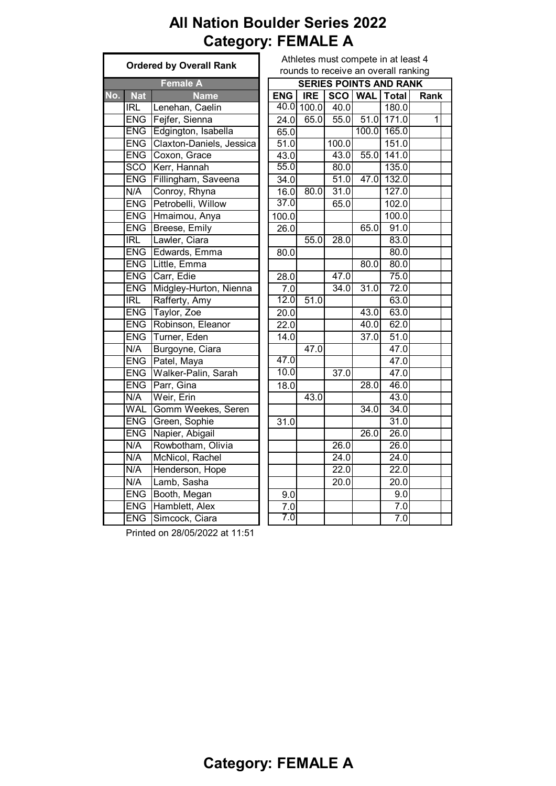# **All Nation Boulder Series 2022 Category: FEMALE A**

|     |            | <b>Ordered by Overall Rank</b> | Athletes must compete in at le<br>rounds to receive an overall ra |            |                   |                             |                   |
|-----|------------|--------------------------------|-------------------------------------------------------------------|------------|-------------------|-----------------------------|-------------------|
|     |            |                                |                                                                   |            |                   |                             |                   |
|     |            | <b>Female A</b>                |                                                                   |            |                   | <b>SERIES POINTS AND RA</b> |                   |
| No. | <b>Nat</b> | <b>Name</b>                    | <b>ENG</b>                                                        | <b>IRE</b> |                   | SCO   WAL   Total           |                   |
|     | IRL        | Lenehan, Caelin                |                                                                   |            | 40.0 100.0 40.0   |                             | 180.0             |
|     |            | ENG Fejfer, Sienna             | 24.0                                                              | 65.0       |                   | 55.0 51.0 171.0             |                   |
|     |            | ENG Edgington, Isabella        | 65.0                                                              |            |                   | 100.0                       | 165.0             |
|     | <b>ENG</b> | Claxton-Daniels, Jessica       | $\overline{51.0}$                                                 |            | 100.0             |                             | 151.0             |
|     |            | ENG Coxon, Grace               | 43.0                                                              |            | 43.0              | 55.0                        | 141.0             |
|     |            | SCO Kerr, Hannah               | 55.0                                                              |            | 80.0              |                             | 135.0             |
|     | <b>ENG</b> | Fillingham, Saveena            | 34.0                                                              |            | 51.0              | 47.0                        | 132.0             |
|     | N/A        | Conroy, Rhyna                  | 16.0                                                              | 80.0       | 31.0              |                             | 127.0             |
|     | <b>ENG</b> | Petrobelli, Willow             | 37.0                                                              |            | 65.0              |                             | 102.0             |
|     |            | ENG Hmaimou, Anya              | 100.0                                                             |            |                   |                             | 100.0             |
|     |            | ENG Breese, Emily              | 26.0                                                              |            |                   | 65.0                        | 91.0              |
|     | IRL        | Lawler, Ciara                  |                                                                   | 55.0       | $\overline{28.0}$ |                             | 83.0              |
|     |            | <b>ENG Edwards, Emma</b>       | 80.0                                                              |            |                   |                             | 80.0              |
|     | <b>ENG</b> | Little, Emma                   |                                                                   |            |                   | 80.0                        | 80.0              |
|     |            | ENG Carr, Edie                 | 28.0                                                              |            | 47.0              |                             | 75.0              |
|     | <b>ENG</b> | Midgley-Hurton, Nienna         | $\overline{7.0}$                                                  |            | 34.0              | 31.0                        | 72.0              |
|     | IRL        | Rafferty, Amy                  | 12.0                                                              | 51.0       |                   |                             | 63.0              |
|     | <b>ENG</b> | Taylor, Zoe                    | 20.0                                                              |            |                   | 43.0                        | 63.0              |
|     |            | <b>ENG</b> Robinson, Eleanor   | 22.0                                                              |            |                   | 40.0                        | 62.0              |
|     | <b>ENG</b> | Turner, Eden                   | 14.0                                                              |            |                   | 37.0                        | 51.0              |
|     | N/A        | Burgoyne, Ciara                |                                                                   | 47.0       |                   |                             | 47.0              |
|     |            | ENG Patel, Maya                | 47.0                                                              |            |                   |                             | 47.0              |
|     | <b>ENG</b> | Walker-Palin, Sarah            | 10.0                                                              |            | 37.0              |                             | 47.0              |
|     | <b>ENG</b> | Parr, Gina                     | 18.0                                                              |            |                   | $\overline{28.0}$           | 46.0              |
|     | N/A        | Weir, Erin                     |                                                                   | 43.0       |                   |                             | 43.0              |
|     | <b>WAL</b> | Gomm Weekes, Seren             |                                                                   |            |                   | 34.0                        | 34.0              |
|     | <b>ENG</b> | Green, Sophie                  | 31.0                                                              |            |                   |                             | 31.0              |
|     | <b>ENG</b> | Napier, Abigail                |                                                                   |            |                   | 26.0                        | $\overline{26.0}$ |
|     | N/A        | Rowbotham, Olivia              |                                                                   |            | 26.0              |                             | $\overline{26.0}$ |
|     | N/A        | McNicol, Rachel                |                                                                   |            | 24.0              |                             | $\overline{2}4.0$ |
|     | N/A        | Henderson, Hope                |                                                                   |            | 22.0              |                             | 22.0              |
|     | N/A        | Lamb, Sasha                    |                                                                   |            | 20.0              |                             | 20.0              |
|     | <b>ENG</b> | Booth, Megan                   | 9.0                                                               |            |                   |                             | $\overline{9}$ .0 |
|     | <b>ENG</b> | Hamblett, Alex                 | 7.0                                                               |            |                   |                             | 7.0               |
|     | <b>ENG</b> | Simcock, Ciara                 | 7.0                                                               |            |                   |                             | 7.0               |
|     |            |                                |                                                                   |            |                   |                             |                   |

| <b>Ordered by Overall Rank</b> |                         |                          | Athletes must compete in at least 4<br>rounds to receive an overall ranking |            |                   |         |                               |      |  |  |
|--------------------------------|-------------------------|--------------------------|-----------------------------------------------------------------------------|------------|-------------------|---------|-------------------------------|------|--|--|
|                                |                         |                          |                                                                             |            |                   |         |                               |      |  |  |
|                                |                         | <b>Female A</b>          |                                                                             |            |                   |         | <b>SERIES POINTS AND RANK</b> |      |  |  |
| No.                            | <b>Nat</b>              | <b>Name</b>              | <b>ENG</b>                                                                  | <b>IRE</b> | SCO WAL           |         | <b>Total</b>                  | Rank |  |  |
|                                | $\overline{IRL}$        | Lenehan, Caelin          |                                                                             |            | 40.0 100.0 40.0   |         | 180.0                         |      |  |  |
|                                | <b>ENG</b>              | Fejfer, Sienna           | 24.0                                                                        |            |                   |         | 65.0 55.0 51.0 171.0          | 1    |  |  |
|                                |                         | ENG Edgington, Isabella  | 65.0                                                                        |            |                   |         | 100.0 165.0                   |      |  |  |
|                                | <b>ENG</b>              | Claxton-Daniels, Jessica | 51.0                                                                        |            | 100.0             |         | 151.0                         |      |  |  |
|                                | <b>ENG</b>              | Coxon, Grace             | 43.0                                                                        |            | 43.0              | $-55.0$ | 141.0                         |      |  |  |
|                                | <b>SCO</b>              | Kerr, Hannah             | 55.0                                                                        |            | 80.0              |         | 135.0                         |      |  |  |
|                                | <b>ENG</b>              | Fillingham, Saveena      | 34.0                                                                        |            | 51.0              | 47.0    | 132.0                         |      |  |  |
|                                | N/A                     | Conroy, Rhyna            | 16.0                                                                        | 80.0       | 31.0              |         | 127.0                         |      |  |  |
|                                | <b>ENG</b>              | Petrobelli, Willow       | 37.0                                                                        |            | 65.0              |         | 102.0                         |      |  |  |
|                                | <b>ENG</b>              | Hmaimou, Anya            | 100.0                                                                       |            |                   |         | 100.0                         |      |  |  |
|                                | <b>ENG</b>              | Breese, Emily            | 26.0                                                                        |            |                   | 65.0    | 91.0                          |      |  |  |
|                                | $\overline{\text{IRL}}$ | Lawler, Ciara            |                                                                             | 55.0       | 28.0              |         | 83.0                          |      |  |  |
|                                | <b>ENG</b>              | Edwards, Emma            | 80.0                                                                        |            |                   |         | 80.0                          |      |  |  |
|                                |                         | ENG Little, Emma         |                                                                             |            |                   | 80.0    | 80.0                          |      |  |  |
|                                | <b>ENG</b>              | Carr, Edie               | 28.0                                                                        |            | 47.0              |         | 75.0                          |      |  |  |
|                                | <b>ENG</b>              | Midgley-Hurton, Nienna   | 7.0                                                                         |            | 34.0              | 31.0    | 72.0                          |      |  |  |
|                                | IRL                     | Rafferty, Amy            | 12.0                                                                        | 51.0       |                   |         | 63.0                          |      |  |  |
|                                | <b>ENG</b>              | Taylor, Zoe              | 20.0                                                                        |            |                   | 43.0    | 63.0                          |      |  |  |
|                                | <b>ENG</b>              | Robinson, Eleanor        | 22.0                                                                        |            |                   | 40.0    | 62.0                          |      |  |  |
|                                | <b>ENG</b>              | Turner, Eden             | 14.0                                                                        |            |                   | 37.0    | 51.0                          |      |  |  |
|                                | N/A                     | Burgoyne, Ciara          |                                                                             | 47.0       |                   |         | 47.0                          |      |  |  |
|                                | <b>ENG</b>              | Patel, Maya              | 47.0                                                                        |            |                   |         | 47.0                          |      |  |  |
|                                | <b>ENG</b>              | Walker-Palin, Sarah      | 10.0                                                                        |            | $\overline{37.0}$ |         | 47.0                          |      |  |  |
|                                | <b>ENG</b>              | Parr, Gina               | 18.0                                                                        |            |                   | 28.0    | 46.0                          |      |  |  |
|                                | N/A                     | Weir, Erin               |                                                                             | 43.0       |                   |         | 43.0                          |      |  |  |
|                                | <b>WAL</b>              | Gomm Weekes, Seren       |                                                                             |            |                   | 34.0    | 34.0                          |      |  |  |
|                                | <b>ENG</b>              | Green, Sophie            | 31.0                                                                        |            |                   |         | 31.0                          |      |  |  |
|                                | <b>ENG</b>              | Napier, Abigail          |                                                                             |            |                   | 26.0    | 26.0                          |      |  |  |
|                                | N/A                     | Rowbotham, Olivia        |                                                                             |            | 26.0              |         | 26.0                          |      |  |  |
|                                | N/A                     | McNicol, Rachel          |                                                                             |            | 24.0              |         | $\overline{24.0}$             |      |  |  |
|                                | N/A                     | Henderson, Hope          |                                                                             |            | 22.0              |         | 22.0                          |      |  |  |
|                                | N/A                     | Lamb, Sasha              |                                                                             |            | $\overline{2}0.0$ |         | 20.0                          |      |  |  |
|                                | <b>ENG</b>              | Booth, Megan             | 9.0                                                                         |            |                   |         | 9.0                           |      |  |  |
|                                | <b>ENG</b>              | Hamblett, Alex           | 7.0                                                                         |            |                   |         | 7.0                           |      |  |  |
|                                | <b>ENG</b>              | Simcock, Ciara           | 7.0                                                                         |            |                   |         | 7.0                           |      |  |  |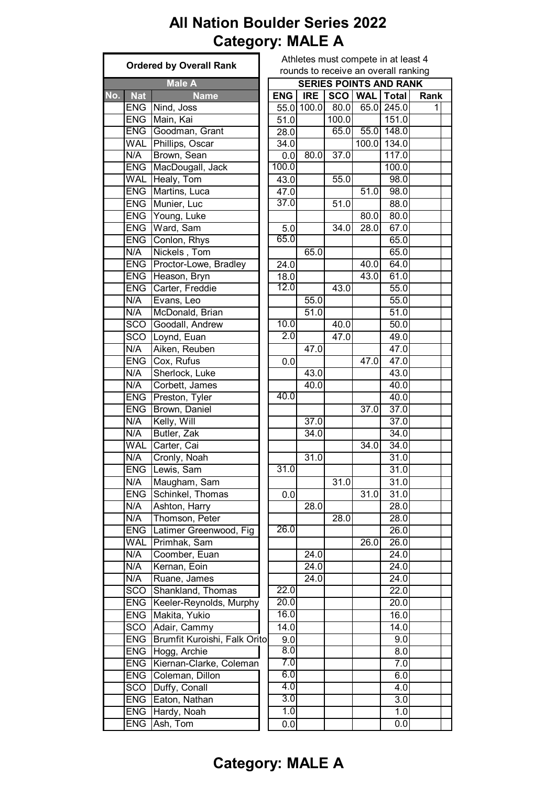#### **All Nation Boulder Series 2022 Category: MALE A**

|                                   | <b>Ordered by Overall Rank</b> |  |              |                          | Athletes must compete in at least 4<br>rounds to receive an overall ranking |                   |                               |                      |  |  |  |
|-----------------------------------|--------------------------------|--|--------------|--------------------------|-----------------------------------------------------------------------------|-------------------|-------------------------------|----------------------|--|--|--|
|                                   | <b>Male A</b>                  |  |              |                          |                                                                             |                   | <b>SERIES POINTS AND RANK</b> |                      |  |  |  |
|                                   |                                |  |              |                          |                                                                             |                   |                               |                      |  |  |  |
| <b>Nat</b><br>$\mathsf{No.}\ $    | <b>Name</b><br>ENG Nind, Joss  |  | ENG          | <b>IRE</b><br>55.0 100.0 | 80.0                                                                        | 65.0              | SCO   WAL   Total<br>245.0    | Rank<br>$\mathbf{1}$ |  |  |  |
| <b>ENG</b>                        | Main, Kai                      |  | 51.0         |                          | 100.0                                                                       |                   | 151.0                         |                      |  |  |  |
|                                   | ENG Goodman, Grant             |  |              |                          | 65.0                                                                        | 55.0              | 148.0                         |                      |  |  |  |
| WAL                               | Phillips, Oscar                |  | 28.0<br>34.0 |                          |                                                                             | 100.0             | 134.0                         |                      |  |  |  |
| N/A                               | Brown, Sean                    |  |              | 80.0                     | 37.0                                                                        |                   | 117.0                         |                      |  |  |  |
| <b>ENG</b>                        | MacDougall, Jack               |  | 0.0<br>100.0 |                          |                                                                             |                   | 100.0                         |                      |  |  |  |
| <b>WAL</b>                        | Healy, Tom                     |  |              |                          | 55.0                                                                        |                   | 98.0                          |                      |  |  |  |
| <b>ENG</b>                        | Martins, Luca                  |  | 43.0<br>47.0 |                          |                                                                             | 51.0              | 98.0                          |                      |  |  |  |
|                                   | ENG Munier, Luc                |  | 37.0         |                          | 51.0                                                                        |                   | 88.0                          |                      |  |  |  |
|                                   | ENG Young, Luke                |  |              |                          |                                                                             | 80.0              | 80.0                          |                      |  |  |  |
| <b>ENG</b>                        | Ward, Sam                      |  |              |                          | 34.0                                                                        | 28.0              | 67.0                          |                      |  |  |  |
| <b>ENG</b>                        | Conlon, Rhys                   |  | 5.0<br>65.0  |                          |                                                                             |                   | 65.0                          |                      |  |  |  |
| N/A                               | Nickels, Tom                   |  |              | 65.0                     |                                                                             |                   | 65.0                          |                      |  |  |  |
| <b>ENG</b>                        |                                |  |              |                          |                                                                             | $\frac{1}{40.0}$  |                               |                      |  |  |  |
|                                   | Proctor-Lowe, Bradley          |  | 24.0         |                          |                                                                             |                   | 64.0                          |                      |  |  |  |
| <b>ENG</b>                        | Heason, Bryn                   |  | 18.0<br>12.0 |                          |                                                                             | 43.0              | 61.0                          |                      |  |  |  |
| <b>ENG</b>                        | Carter, Freddie                |  |              |                          | 43.0                                                                        |                   | 55.0                          |                      |  |  |  |
| N/A                               | Evans, Leo                     |  |              | 55.0                     |                                                                             |                   | 55.0                          |                      |  |  |  |
| N/A                               | McDonald, Brian                |  | 10.0         | 51.0                     |                                                                             |                   | 51.0                          |                      |  |  |  |
| $\overline{SCO}$                  | Goodall, Andrew                |  | 2.0          |                          | 40.0                                                                        |                   | $\overline{50.0}$             |                      |  |  |  |
| <b>SCO</b>                        | Loynd, Euan                    |  |              |                          | 47.0                                                                        |                   | 49.0                          |                      |  |  |  |
| N/A                               | Aiken, Reuben                  |  |              | 47.0                     |                                                                             |                   | 47.0                          |                      |  |  |  |
| <b>ENG</b>                        | Cox, Rufus                     |  | 0.0          |                          |                                                                             | 47.0              | 47.0                          |                      |  |  |  |
| $\overline{\mathsf{N}}\mathsf{A}$ | Sherlock, Luke                 |  |              | 43.0                     |                                                                             |                   | 43.0                          |                      |  |  |  |
| N/A                               | Corbett, James                 |  |              | 40.0                     |                                                                             |                   | 40.0                          |                      |  |  |  |
| ENG                               | Preston, Tyler                 |  | 40.0         |                          |                                                                             |                   | 40.0                          |                      |  |  |  |
| <b>ENG</b>                        | Brown, Daniel                  |  |              |                          |                                                                             | 37.0              | 37.0                          |                      |  |  |  |
| N/A                               | Kelly, Will                    |  |              | $\overline{37.0}$        |                                                                             |                   | $\overline{37.0}$             |                      |  |  |  |
| N/A                               | Butler, Zak                    |  |              | 34.0                     |                                                                             |                   | 34.0                          |                      |  |  |  |
| <b>WAL</b>                        | Carter, Cai                    |  |              |                          |                                                                             | 34.0              | 34.0                          |                      |  |  |  |
| $\overline{\mathsf{N/A}}$         | Cronly, Noah                   |  |              | 31.0                     |                                                                             |                   | 31.0                          |                      |  |  |  |
|                                   | ENG Lewis, Sam                 |  | 31.0         |                          |                                                                             |                   | 31.0                          |                      |  |  |  |
| N/A                               | Maugham, Sam                   |  |              |                          | 31.0                                                                        |                   | 31.0                          |                      |  |  |  |
| <b>ENG</b>                        | Schinkel, Thomas               |  | 0.0          |                          |                                                                             | $\overline{31.0}$ | 31.0                          |                      |  |  |  |
| N/A                               | Ashton, Harry                  |  |              | 28.0                     |                                                                             |                   | 28.0                          |                      |  |  |  |
| N/A                               | Thomson, Peter                 |  |              |                          | 28.0                                                                        |                   | 28.0                          |                      |  |  |  |
| <b>ENG</b>                        | Latimer Greenwood, Fig         |  | 26.0         |                          |                                                                             |                   | 26.0                          |                      |  |  |  |
| <b>WAL</b>                        | Primhak, Sam                   |  |              |                          |                                                                             | 26.0              | 26.0                          |                      |  |  |  |
| N/A                               | Coomber, Euan                  |  |              | 24.0                     |                                                                             |                   | $\overline{2}4.0$             |                      |  |  |  |
| N/A                               | Kernan, Eoin                   |  |              | 24.0                     |                                                                             |                   | 24.0                          |                      |  |  |  |
| N/A                               | Ruane, James                   |  |              | 24.0                     |                                                                             |                   | 24.0                          |                      |  |  |  |
| SCO                               | Shankland, Thomas              |  | 22.0         |                          |                                                                             |                   | 22.0                          |                      |  |  |  |
| <b>ENG</b>                        | Keeler-Reynolds, Murphy        |  | 20.0         |                          |                                                                             |                   | 20.0                          |                      |  |  |  |
| <b>ENG</b>                        | Makita, Yukio                  |  | 16.0         |                          |                                                                             |                   | 16.0                          |                      |  |  |  |
| <b>SCO</b>                        | Adair, Cammy                   |  | 14.0         |                          |                                                                             |                   | 14.0                          |                      |  |  |  |
| <b>ENG</b>                        | Brumfit Kuroishi, Falk Orito   |  | 9.0          |                          |                                                                             |                   | 9.0                           |                      |  |  |  |
| <b>ENG</b>                        | Hogg, Archie                   |  | 8.0          |                          |                                                                             |                   | 8.0                           |                      |  |  |  |
| <b>ENG</b>                        | Kiernan-Clarke, Coleman        |  | 7.0          |                          |                                                                             |                   | 7.0                           |                      |  |  |  |
| <b>ENG</b>                        | Coleman, Dillon                |  | 6.0          |                          |                                                                             |                   | 6.0                           |                      |  |  |  |
| SCO                               | Duffy, Conall                  |  | 4.0          |                          |                                                                             |                   | 4.0                           |                      |  |  |  |
| <b>ENG</b>                        | Eaton, Nathan                  |  | 3.0          |                          |                                                                             |                   | 3.0                           |                      |  |  |  |
| <b>ENG</b>                        | Hardy, Noah                    |  | 1.0          |                          |                                                                             |                   | 1.0                           |                      |  |  |  |
| <b>ENG</b>                        | Ash, Tom                       |  | 0.0          |                          |                                                                             |                   | 0.0                           |                      |  |  |  |

#### at least 4 all ranking

#### **Category: MALE A**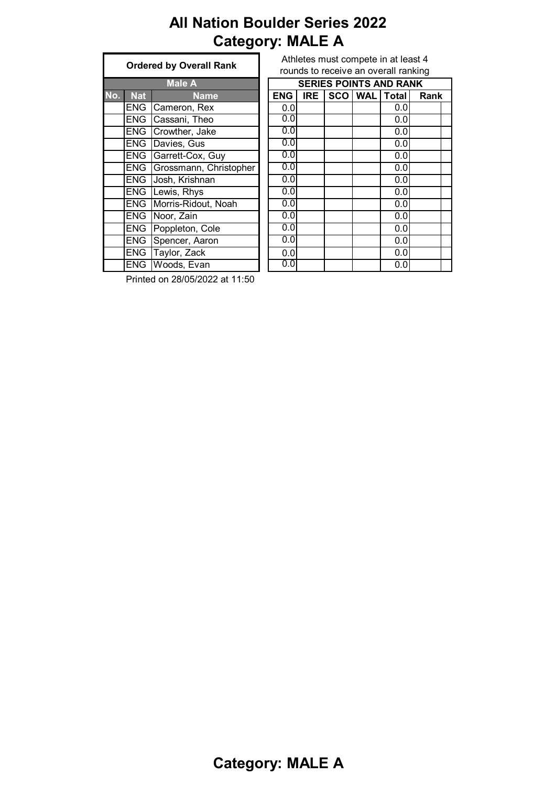# **All Nation Boulder Series 2022 Category: MALE A**

|     | <b>Ordered by Overall Rank</b> |                        |  |  |  |  |  |
|-----|--------------------------------|------------------------|--|--|--|--|--|
|     | <b>Male A</b>                  |                        |  |  |  |  |  |
| No. | <b>Nat</b>                     | <b>Name</b>            |  |  |  |  |  |
|     | ENG                            | Cameron, Rex           |  |  |  |  |  |
|     | <b>ENG</b>                     | Cassani, Theo          |  |  |  |  |  |
|     | <b>ENG</b>                     | Crowther, Jake         |  |  |  |  |  |
|     | <b>ENG</b>                     | Davies, Gus            |  |  |  |  |  |
|     | <b>ENG</b>                     | Garrett-Cox, Guy       |  |  |  |  |  |
|     | ENG                            | Grossmann, Christopher |  |  |  |  |  |
|     | <b>ENG</b>                     | Josh, Krishnan         |  |  |  |  |  |
|     | ENG                            | Lewis, Rhys            |  |  |  |  |  |
|     | <b>ENG</b>                     | Morris-Ridout, Noah    |  |  |  |  |  |
|     | <b>ENG</b>                     | Noor, Zain             |  |  |  |  |  |
|     | <b>ENG</b>                     | Poppleton, Cole        |  |  |  |  |  |
|     | <b>ENG</b>                     | Spencer, Aaron         |  |  |  |  |  |
|     | <b>ENG</b>                     | Taylor, Zack           |  |  |  |  |  |
|     | <b>ENG</b>                     | Woods, Evan            |  |  |  |  |  |

Athletes must compete in at least 4 rounds to receive an overall ranking

|     |            | <b>Male A</b>          |            | <b>SERIES POINTS AND RANK</b> |  |                |              |      |  |
|-----|------------|------------------------|------------|-------------------------------|--|----------------|--------------|------|--|
| No. | <b>Nat</b> | <b>Name</b>            | <b>ENG</b> | <b>IRE</b>                    |  | <b>SCO WAL</b> | <b>Total</b> | Rank |  |
|     | <b>ENG</b> | Cameron, Rex           | 0.0        |                               |  |                | 0.0          |      |  |
|     | <b>ENG</b> | Cassani, Theo          | 0.0        |                               |  |                | 0.0          |      |  |
|     | <b>ENG</b> | Crowther, Jake         | 0.0        |                               |  |                | 0.0          |      |  |
|     | <b>ENG</b> | Davies, Gus            | 0.0        |                               |  |                | 0.0          |      |  |
|     | <b>ENG</b> | Garrett-Cox, Guy       | 0.0        |                               |  |                | 0.0          |      |  |
|     | <b>ENG</b> | Grossmann, Christopher | 0.0        |                               |  |                | 0.0          |      |  |
|     | <b>ENG</b> | Josh, Krishnan         | 0.0        |                               |  |                | 0.0          |      |  |
|     | <b>ENG</b> | Lewis, Rhys            | 0.0        |                               |  |                | 0.0          |      |  |
|     | <b>ENG</b> | Morris-Ridout, Noah    | 0.0        |                               |  |                | 0.0          |      |  |
|     | <b>ENG</b> | Noor, Zain             | 0.0        |                               |  |                | 0.0          |      |  |
|     | <b>ENG</b> | Poppleton, Cole        | 0.0        |                               |  |                | 0.0          |      |  |
|     | <b>ENG</b> | Spencer, Aaron         | 0.0        |                               |  |                | 0.0          |      |  |
|     | <b>ENG</b> | Taylor, Zack           | 0.0        |                               |  |                | 0.0          |      |  |
|     | <b>ENG</b> | Woods, Evan            | 0.0        |                               |  |                | 0.0          |      |  |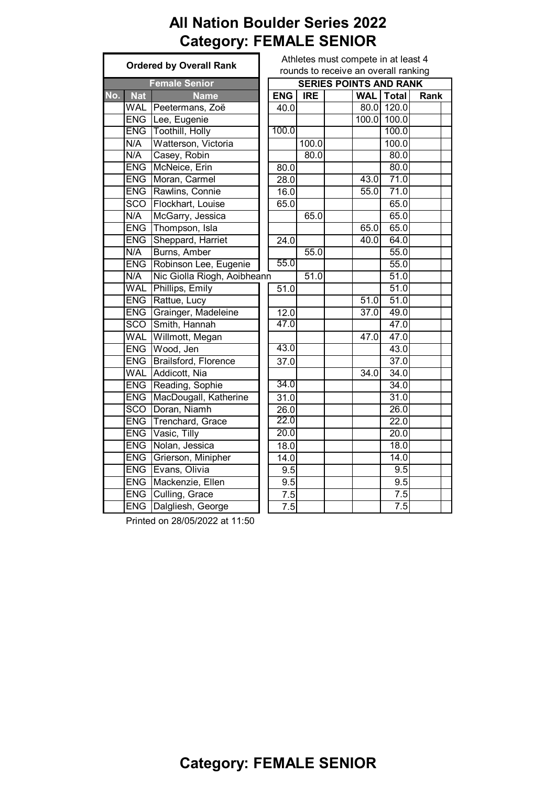#### **All Nation Boulder Series 2022 Category: FEMALE SENIOR**

| <b>Ordered by Overall Rank</b> |            |                             | Athletes must compete in at least 4  |            |            |  |      |                               |      |
|--------------------------------|------------|-----------------------------|--------------------------------------|------------|------------|--|------|-------------------------------|------|
|                                |            |                             | rounds to receive an overall ranking |            |            |  |      |                               |      |
|                                |            | <b>Female Senior</b>        |                                      |            |            |  |      | <b>SERIES POINTS AND RANK</b> |      |
| No.                            | <b>Nat</b> | <b>Name</b>                 |                                      | <b>ENG</b> | <b>IRE</b> |  |      | <b>WAL</b> Total              | Rank |
|                                |            | WAL Peetermans, Zoë         |                                      | 40.0       |            |  |      | 80.0 120.0                    |      |
|                                |            | ENG Lee, Eugenie            |                                      |            |            |  |      | 100.0 100.0                   |      |
|                                |            | <b>ENG</b> Toothill, Holly  |                                      | 100.0      |            |  |      | 100.0                         |      |
|                                | N/A        | Watterson, Victoria         |                                      |            | 100.0      |  |      | 100.0                         |      |
|                                | N/A        | Casey, Robin                |                                      |            | 80.0       |  |      | 80.0                          |      |
|                                | <b>ENG</b> | McNeice, Erin               |                                      | 80.0       |            |  |      | 80.0                          |      |
|                                | <b>ENG</b> | Moran, Carmel               |                                      | 28.0       |            |  | 43.0 | 71.0                          |      |
|                                | <b>ENG</b> | Rawlins, Connie             |                                      | 16.0       |            |  | 55.0 | 71.0                          |      |
|                                | <b>SCO</b> | Flockhart, Louise           |                                      | 65.0       |            |  |      | 65.0                          |      |
|                                | N/A        | McGarry, Jessica            |                                      |            | 65.0       |  |      | 65.0                          |      |
|                                | <b>ENG</b> | Thompson, Isla              |                                      |            |            |  | 65.0 | 65.0                          |      |
|                                | <b>ENG</b> | Sheppard, Harriet           |                                      | 24.0       |            |  | 40.0 | 64.0                          |      |
|                                | N/A        | Burns, Amber                |                                      |            | 55.0       |  |      | 55.0                          |      |
|                                | <b>ENG</b> | Robinson Lee, Eugenie       |                                      | 55.0       |            |  |      | 55.0                          |      |
|                                | N/A        | Nic Giolla Riogh, Aoibheann |                                      |            | 51.0       |  |      | 51.0                          |      |
|                                |            | WAL Phillips, Emily         |                                      | 51.0       |            |  |      | $\overline{51.0}$             |      |
|                                | <b>ENG</b> | Rattue, Lucy                |                                      |            |            |  | 51.0 | 51.0                          |      |
|                                | <b>ENG</b> | Grainger, Madeleine         |                                      | 12.0       |            |  | 37.0 | 49.0                          |      |
|                                | <b>SCO</b> | Smith, Hannah               |                                      | 47.0       |            |  |      | 47.0                          |      |
|                                | <b>WAL</b> | Willmott, Megan             |                                      |            |            |  | 47.0 | 47.0                          |      |
|                                |            | ENG Wood, Jen               |                                      | 43.0       |            |  |      | 43.0                          |      |
|                                | <b>ENG</b> | Brailsford, Florence        |                                      | 37.0       |            |  |      | 37.0                          |      |
|                                | <b>WAL</b> | Addicott, Nia               |                                      |            |            |  | 34.0 | 34.0                          |      |
|                                | <b>ENG</b> | Reading, Sophie             |                                      | 34.0       |            |  |      | 34.0                          |      |
|                                | <b>ENG</b> | MacDougall, Katherine       |                                      | 31.0       |            |  |      | 31.0                          |      |
|                                | <b>SCO</b> | Doran, Niamh                |                                      | 26.0       |            |  |      | 26.0                          |      |
|                                | <b>ENG</b> | Trenchard, Grace            |                                      | 22.0       |            |  |      | 22.0                          |      |
|                                | <b>ENG</b> | Vasic, Tilly                |                                      | 20.0       |            |  |      | $\overline{20.0}$             |      |
|                                | <b>ENG</b> | Nolan, Jessica              |                                      | 18.0       |            |  |      | 18.0                          |      |
|                                | <b>ENG</b> | Grierson, Minipher          |                                      | 14.0       |            |  |      | 14.0                          |      |
|                                | <b>ENG</b> | Evans, Olivia               |                                      | 9.5        |            |  |      | 9.5                           |      |
|                                | <b>ENG</b> | Mackenzie, Ellen            |                                      | 9.5        |            |  |      | 9.5                           |      |
|                                | <b>ENG</b> | Culling, Grace              |                                      | 7.5        |            |  |      | 7.5                           |      |
|                                | <b>ENG</b> | Dalgliesh, George           |                                      | 7.5        |            |  |      | 7.5                           |      |

Printed on 28/05/2022 at 11:50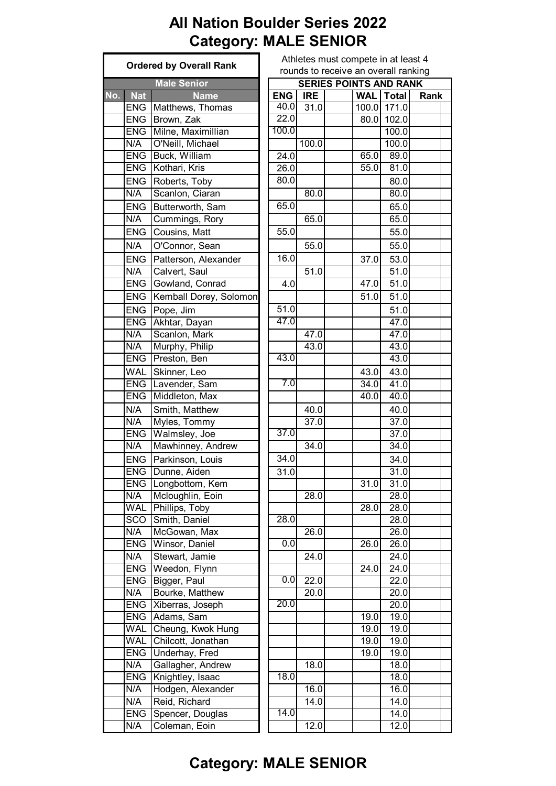# **All Nation Boulder Series 2022 Category: MALE SENIOR**

|                   | <b>Ordered by Overall Rank</b> | Athletes must compete in at least 4  |            |  |                    |                   |      |  |
|-------------------|--------------------------------|--------------------------------------|------------|--|--------------------|-------------------|------|--|
|                   |                                | rounds to receive an overall ranking |            |  |                    |                   |      |  |
|                   | <b>Male Senior</b>             | <b>SERIES POINTS AND RANK</b>        |            |  |                    |                   |      |  |
| No.<br><b>Nat</b> | <b>Name</b>                    | <b>ENG</b>                           | <b>IRE</b> |  |                    | <b>WAL</b> Total  | Rank |  |
|                   | <b>ENG</b> Matthews, Thomas    | 40.0                                 | 31.0       |  |                    | 100.0 171.0       |      |  |
| <b>ENG</b>        | Brown, Zak                     | 22.0                                 |            |  |                    | 80.0 102.0        |      |  |
| <b>ENG</b>        | Milne, Maximillian             | 100.0                                |            |  |                    | 100.0             |      |  |
| N/A               | O'Neill, Michael               |                                      | 100.0      |  |                    | 100.0             |      |  |
| <b>ENG</b>        | Buck, William                  | 24.0                                 |            |  | 65.0               | 89.0              |      |  |
| <b>ENG</b>        | Kothari, Kris                  | 26.0                                 |            |  | 55.0               | 81.0              |      |  |
| <b>ENG</b>        | Roberts, Toby                  | 80.0                                 |            |  |                    | 80.0              |      |  |
| N/A               | Scanlon, Ciaran                |                                      | 80.0       |  |                    | 80.0              |      |  |
| <b>ENG</b>        | Butterworth, Sam               | 65.0                                 |            |  |                    | 65.0              |      |  |
| N/A               | Cummings, Rory                 |                                      | 65.0       |  |                    | 65.0              |      |  |
| <b>ENG</b>        | Cousins, Matt                  | 55.0                                 |            |  |                    | 55.0              |      |  |
| N/A               | O'Connor, Sean                 |                                      | 55.0       |  |                    | 55.0              |      |  |
| <b>ENG</b>        | Patterson, Alexander           | 16.0                                 |            |  | 37.0               | 53.0              |      |  |
| N/A               | Calvert, Saul                  |                                      | 51.0       |  |                    | 51.0              |      |  |
| <b>ENG</b>        | Gowland, Conrad                | 4.0                                  |            |  | $\overline{47}$ .0 | 51.0              |      |  |
|                   |                                |                                      |            |  | 51.0               |                   |      |  |
| <b>ENG</b>        | Kemball Dorey, Solomon         |                                      |            |  |                    | 51.0              |      |  |
| <b>ENG</b>        | Pope, Jim                      | 51.0                                 |            |  |                    | 51.0              |      |  |
| <b>ENG</b>        | Akhtar, Dayan                  | 47.0                                 |            |  |                    | 47.0              |      |  |
| N/A               | Scanlon, Mark                  |                                      | 47.0       |  |                    | 47.0              |      |  |
| N/A               | Murphy, Philip                 |                                      | 43.0       |  |                    | 43.0              |      |  |
| <b>ENG</b>        | Preston, Ben                   | 43.0                                 |            |  |                    | 43.0              |      |  |
| <b>WAL</b>        | Skinner, Leo                   |                                      |            |  | 43.0               | 43.0              |      |  |
| <b>ENG</b>        | Lavender, Sam                  | 7.0                                  |            |  | 34.0               | 41.0              |      |  |
| <b>ENG</b>        | Middleton, Max                 |                                      |            |  | 40.0               | 40.0              |      |  |
| N/A               | Smith, Matthew                 |                                      | 40.0       |  |                    | 40.0              |      |  |
| N/A               | Myles, Tommy                   |                                      | 37.0       |  |                    | 37.0              |      |  |
| <b>ENG</b>        | Walmsley, Joe                  | 37.0                                 |            |  |                    | 37.0              |      |  |
| N/A               | Mawhinney, Andrew              |                                      | 34.0       |  |                    | 34.0              |      |  |
| <b>ENG</b>        | Parkinson, Louis               | 34.0                                 |            |  |                    | 34.0              |      |  |
| <b>ENG</b>        | Dunne, Aiden                   | 31.0                                 |            |  |                    | 31.0              |      |  |
| <b>ENG</b>        | Longbottom, Kem                |                                      |            |  | 31.0               | 31.0              |      |  |
| N/A               | Mcloughlin, Eoin               |                                      | 28.0       |  |                    | $\overline{28.0}$ |      |  |
| <b>WAL</b>        | Phillips, Toby                 |                                      |            |  | 28.0               | 28.0              |      |  |
| <b>SCO</b>        | Smith, Daniel                  | 28.0                                 |            |  |                    | 28.0              |      |  |
| N/A               | McGowan, Max                   |                                      | 26.0       |  |                    | 26.0              |      |  |
| <b>ENG</b>        | Winsor, Daniel                 | 0.0                                  |            |  | 26.0               | 26.0              |      |  |
| N/A               | Stewart, Jamie                 |                                      | 24.0       |  |                    | 24.0              |      |  |
| <b>ENG</b>        | Weedon, Flynn                  |                                      |            |  | 24.0               | 24.0              |      |  |
| <b>ENG</b>        | Bigger, Paul                   | 0.0                                  | 22.0       |  |                    | 22.0              |      |  |
| N/A               | Bourke, Matthew                |                                      | 20.0       |  |                    | 20.0              |      |  |
| <b>ENG</b>        | Xiberras, Joseph               | 20.0                                 |            |  |                    | 20.0              |      |  |
| <b>ENG</b>        | Adams, Sam                     |                                      |            |  | 19.0               | 19.0              |      |  |
| <b>WAL</b>        | Cheung, Kwok Hung              |                                      |            |  | 19.0               | 19.0              |      |  |
| <b>WAL</b>        | Chilcott, Jonathan             |                                      |            |  | 19.0               | 19.0              |      |  |
| <b>ENG</b>        | Underhay, Fred                 |                                      |            |  | 19.0               | 19.0              |      |  |
| N/A               | Gallagher, Andrew              |                                      | 18.0       |  |                    | 18.0              |      |  |
| <b>ENG</b>        | Knightley, Isaac               | 18.0                                 |            |  |                    | 18.0              |      |  |
| N/A               | Hodgen, Alexander              |                                      | 16.0       |  |                    | 16.0              |      |  |
| N/A               | Reid, Richard                  |                                      | 14.0       |  |                    | 14.0              |      |  |
| <b>ENG</b>        | Spencer, Douglas               | 14.0                                 |            |  |                    | 14.0              |      |  |
| N/A               | Coleman, Eoin                  |                                      | 12.0       |  |                    | 12.0              |      |  |

| rounds to receive an overall ranking |                               |  |                   |                   |      |  |  |  |  |
|--------------------------------------|-------------------------------|--|-------------------|-------------------|------|--|--|--|--|
|                                      | <b>SERIES POINTS AND RANK</b> |  |                   |                   |      |  |  |  |  |
| <b>ENG</b>                           | <b>IRE</b>                    |  | <b>WAL</b>        | <b>Total</b>      | Rank |  |  |  |  |
| 40.0                                 | 31.0                          |  | 100.0             | 171.0             |      |  |  |  |  |
| 22.0                                 |                               |  | 80.0              | 102.0             |      |  |  |  |  |
| 100.0                                |                               |  |                   | 100.0             |      |  |  |  |  |
|                                      | 100.0                         |  |                   | 100.0             |      |  |  |  |  |
| 24.0                                 |                               |  | 65.0              | 89.0              |      |  |  |  |  |
| 26.0                                 |                               |  | $\overline{55.0}$ | 81.0              |      |  |  |  |  |
| 80.0                                 |                               |  |                   | 80.0              |      |  |  |  |  |
|                                      | 80.0                          |  |                   | 80.0              |      |  |  |  |  |
| 65.0                                 |                               |  |                   | 65.0              |      |  |  |  |  |
|                                      | 65.0                          |  |                   | 65.0              |      |  |  |  |  |
| 55.0                                 |                               |  |                   | 55.0              |      |  |  |  |  |
|                                      | 55.0                          |  |                   | 55.0              |      |  |  |  |  |
| 16.0                                 |                               |  |                   |                   |      |  |  |  |  |
|                                      |                               |  | 37.0              | 53.0              |      |  |  |  |  |
|                                      | 51.0                          |  |                   | 51.0              |      |  |  |  |  |
| 4.0                                  |                               |  | 47.0              | 51.0              |      |  |  |  |  |
|                                      |                               |  | 51.0              | 51.0              |      |  |  |  |  |
| 51.0                                 |                               |  |                   | 51.0              |      |  |  |  |  |
| 47.0                                 |                               |  |                   | 47.0              |      |  |  |  |  |
|                                      | 47.0                          |  |                   | 47.0              |      |  |  |  |  |
|                                      | 43.0                          |  |                   | 43.0              |      |  |  |  |  |
| 43.0                                 |                               |  |                   | 43.0              |      |  |  |  |  |
|                                      |                               |  | 43.0              | 43.0              |      |  |  |  |  |
| 7.0                                  |                               |  | 34.0              | 41.0              |      |  |  |  |  |
|                                      |                               |  | 40.0              | 40.0              |      |  |  |  |  |
|                                      | 40.0                          |  |                   | 40.0              |      |  |  |  |  |
|                                      | 37.0                          |  |                   | 37.0              |      |  |  |  |  |
| 37.0                                 |                               |  |                   | 37.0              |      |  |  |  |  |
|                                      | 34.0                          |  |                   | 34.0              |      |  |  |  |  |
| 34.0                                 |                               |  |                   |                   |      |  |  |  |  |
|                                      |                               |  |                   | 34.0              |      |  |  |  |  |
| 31.0                                 |                               |  |                   | 31.0              |      |  |  |  |  |
|                                      |                               |  | 31.0              | 31.0              |      |  |  |  |  |
|                                      | $\overline{28.0}$             |  |                   | 28.0              |      |  |  |  |  |
|                                      |                               |  | 28.0              | 28.0              |      |  |  |  |  |
| 28.0                                 |                               |  |                   | $\overline{28.0}$ |      |  |  |  |  |
|                                      | 26.0                          |  |                   | 26.0              |      |  |  |  |  |
| 0.0                                  |                               |  | 26.0              | 26.0              |      |  |  |  |  |
|                                      | 24.0                          |  |                   | 24.0              |      |  |  |  |  |
|                                      |                               |  | 24.0              | 24.0              |      |  |  |  |  |
| 0.0                                  | $\overline{22.0}$             |  |                   | $\overline{22}.0$ |      |  |  |  |  |
|                                      | 20.0                          |  |                   | 20.0              |      |  |  |  |  |
| 20.0                                 |                               |  |                   | 20.0              |      |  |  |  |  |
|                                      |                               |  | 19.0              | 19.0              |      |  |  |  |  |
|                                      |                               |  | 19.0              | 19.0              |      |  |  |  |  |
|                                      |                               |  | $\overline{19.0}$ | 19.0              |      |  |  |  |  |
|                                      |                               |  | 19.0              | 19.0              |      |  |  |  |  |
|                                      | 18.0                          |  |                   | $\overline{18.0}$ |      |  |  |  |  |
| 18.0                                 |                               |  |                   | 18.0              |      |  |  |  |  |
|                                      | 16.0                          |  |                   | 16.0              |      |  |  |  |  |
|                                      | 14.0                          |  |                   | 14.0              |      |  |  |  |  |
| 14.0                                 |                               |  |                   | 14.0              |      |  |  |  |  |
|                                      | 12.0                          |  |                   | 12.0              |      |  |  |  |  |

# **Category: MALE SENIOR**